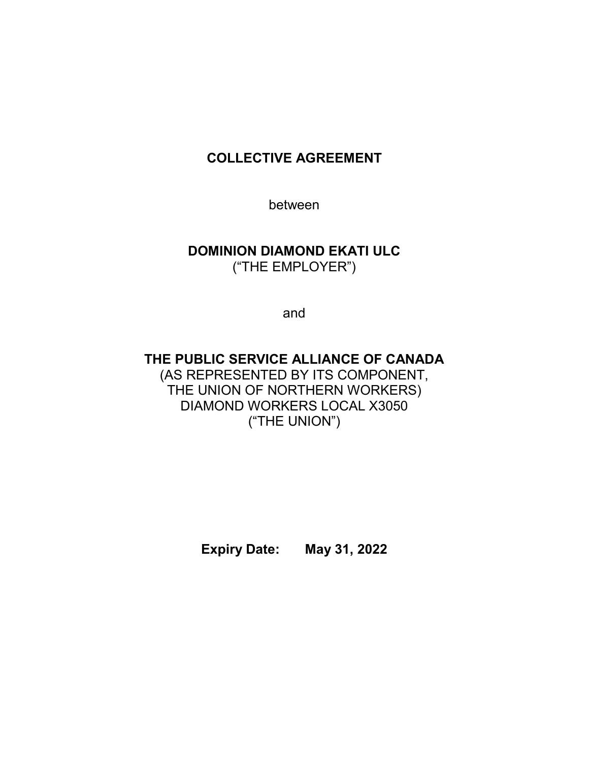# **COLLECTIVE AGREEMENT**

between

# **DOMINION DIAMOND EKATI ULC** ("THE EMPLOYER")

and

# **THE PUBLIC SERVICE ALLIANCE OF CANADA** (AS REPRESENTED BY ITS COMPONENT, THE UNION OF NORTHERN WORKERS) DIAMOND WORKERS LOCAL X3050 ("THE UNION")

**Expiry Date: May 31, 2022**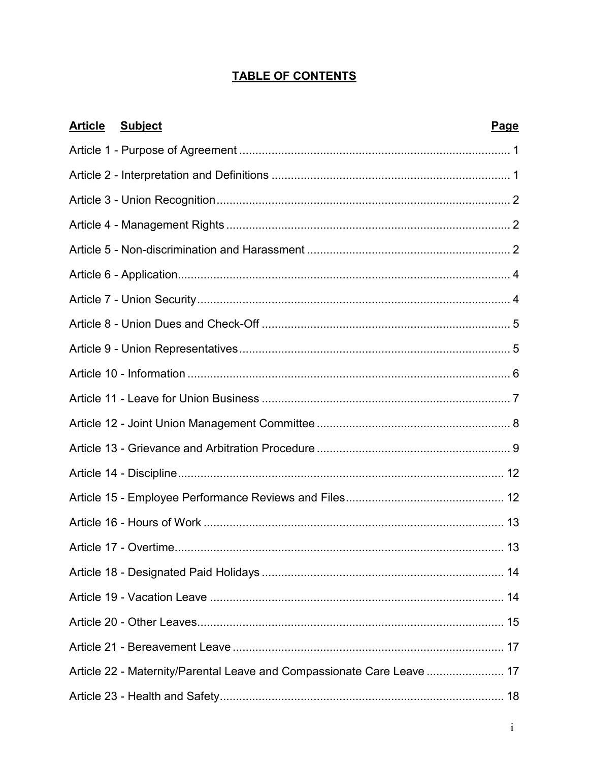# **TABLE OF CONTENTS**

| <b>Subject</b><br><u>Article</u>                                       | Page |
|------------------------------------------------------------------------|------|
|                                                                        |      |
|                                                                        |      |
|                                                                        |      |
|                                                                        |      |
|                                                                        |      |
|                                                                        |      |
|                                                                        |      |
|                                                                        |      |
|                                                                        |      |
|                                                                        |      |
|                                                                        |      |
|                                                                        |      |
|                                                                        |      |
|                                                                        |      |
|                                                                        |      |
|                                                                        |      |
| Article 17 - Overtime                                                  | 13   |
|                                                                        |      |
|                                                                        |      |
|                                                                        |      |
|                                                                        |      |
| Article 22 - Maternity/Parental Leave and Compassionate Care Leave  17 |      |
|                                                                        |      |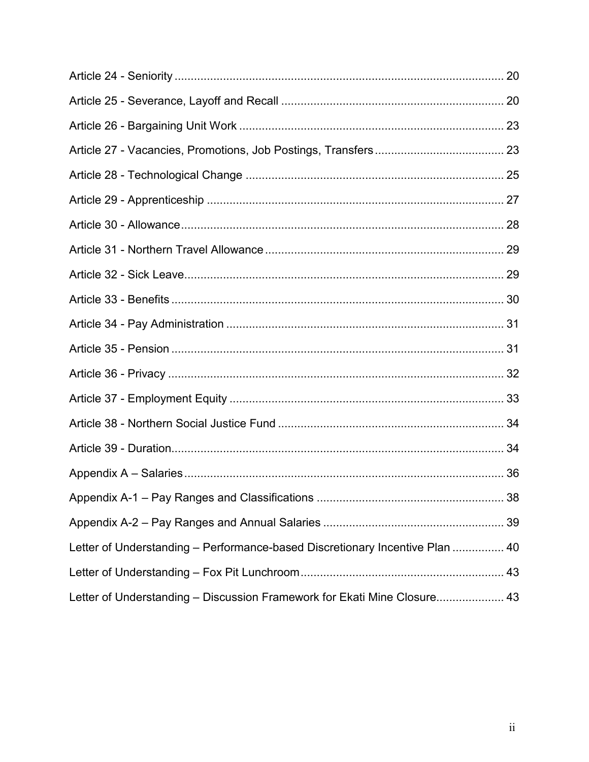| Letter of Understanding - Performance-based Discretionary Incentive Plan  40 |  |
|------------------------------------------------------------------------------|--|
|                                                                              |  |
| Letter of Understanding - Discussion Framework for Ekati Mine Closure 43     |  |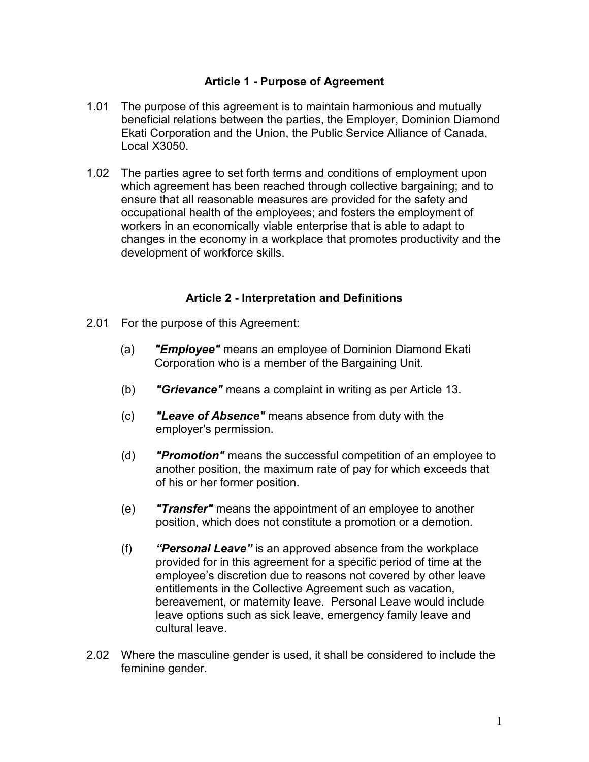## **Article 1 - Purpose of Agreement**

- <span id="page-3-0"></span>1.01 The purpose of this agreement is to maintain harmonious and mutually beneficial relations between the parties, the Employer, Dominion Diamond Ekati Corporation and the Union, the Public Service Alliance of Canada, Local X3050.
- 1.02 The parties agree to set forth terms and conditions of employment upon which agreement has been reached through collective bargaining; and to ensure that all reasonable measures are provided for the safety and occupational health of the employees; and fosters the employment of workers in an economically viable enterprise that is able to adapt to changes in the economy in a workplace that promotes productivity and the development of workforce skills.

### **Article 2 - Interpretation and Definitions**

- <span id="page-3-1"></span>2.01 For the purpose of this Agreement:
	- (a) *"Employee"* means an employee of Dominion Diamond Ekati Corporation who is a member of the Bargaining Unit.
	- (b) *"Grievance"* means a complaint in writing as per Article 13.
	- (c) *"Leave of Absence"* means absence from duty with the employer's permission.
	- (d) *"Promotion"* means the successful competition of an employee to another position, the maximum rate of pay for which exceeds that of his or her former position.
	- (e) *"Transfer"* means the appointment of an employee to another position, which does not constitute a promotion or a demotion.
	- (f) *"Personal Leave"* is an approved absence from the workplace provided for in this agreement for a specific period of time at the employee's discretion due to reasons not covered by other leave entitlements in the Collective Agreement such as vacation, bereavement, or maternity leave. Personal Leave would include leave options such as sick leave, emergency family leave and cultural leave.
- 2.02 Where the masculine gender is used, it shall be considered to include the feminine gender.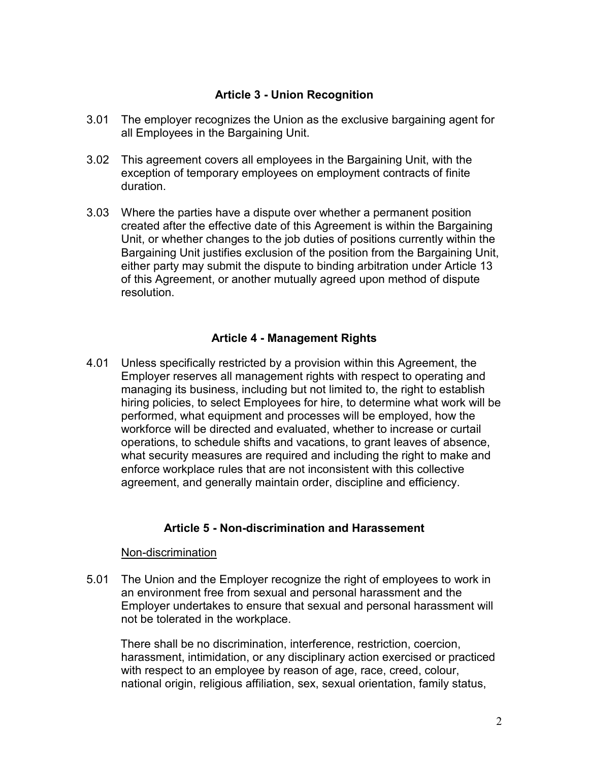## **Article 3 - Union Recognition**

- <span id="page-4-0"></span>3.01 The employer recognizes the Union as the exclusive bargaining agent for all Employees in the Bargaining Unit.
- 3.02 This agreement covers all employees in the Bargaining Unit, with the exception of temporary employees on employment contracts of finite duration.
- 3.03 Where the parties have a dispute over whether a permanent position created after the effective date of this Agreement is within the Bargaining Unit, or whether changes to the job duties of positions currently within the Bargaining Unit justifies exclusion of the position from the Bargaining Unit, either party may submit the dispute to binding arbitration under Article 13 of this Agreement, or another mutually agreed upon method of dispute resolution.

## **Article 4 - Management Rights**

<span id="page-4-1"></span>4.01 Unless specifically restricted by a provision within this Agreement, the Employer reserves all management rights with respect to operating and managing its business, including but not limited to, the right to establish hiring policies, to select Employees for hire, to determine what work will be performed, what equipment and processes will be employed, how the workforce will be directed and evaluated, whether to increase or curtail operations, to schedule shifts and vacations, to grant leaves of absence, what security measures are required and including the right to make and enforce workplace rules that are not inconsistent with this collective agreement, and generally maintain order, discipline and efficiency.

## **Article 5 - Non-discrimination and Harassement**

#### <span id="page-4-2"></span>Non-discrimination

5.01 The Union and the Employer recognize the right of employees to work in an environment free from sexual and personal harassment and the Employer undertakes to ensure that sexual and personal harassment will not be tolerated in the workplace.

There shall be no discrimination, interference, restriction, coercion, harassment, intimidation, or any disciplinary action exercised or practiced with respect to an employee by reason of age, race, creed, colour, national origin, religious affiliation, sex, sexual orientation, family status,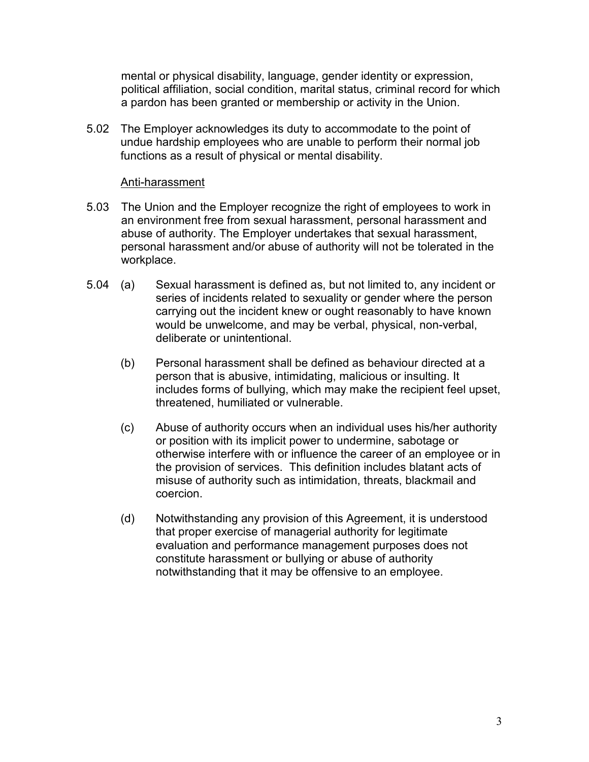mental or physical disability, language, gender identity or expression, political affiliation, social condition, marital status, criminal record for which a pardon has been granted or membership or activity in the Union.

5.02 The Employer acknowledges its duty to accommodate to the point of undue hardship employees who are unable to perform their normal job functions as a result of physical or mental disability.

### Anti-harassment

- 5.03 The Union and the Employer recognize the right of employees to work in an environment free from sexual harassment, personal harassment and abuse of authority. The Employer undertakes that sexual harassment, personal harassment and/or abuse of authority will not be tolerated in the workplace.
- 5.04 (a) Sexual harassment is defined as, but not limited to, any incident or series of incidents related to sexuality or gender where the person carrying out the incident knew or ought reasonably to have known would be unwelcome, and may be verbal, physical, non-verbal, deliberate or unintentional.
	- (b) Personal harassment shall be defined as behaviour directed at a person that is abusive, intimidating, malicious or insulting. It includes forms of bullying, which may make the recipient feel upset, threatened, humiliated or vulnerable.
	- (c) Abuse of authority occurs when an individual uses his/her authority or position with its implicit power to undermine, sabotage or otherwise interfere with or influence the career of an employee or in the provision of services. This definition includes blatant acts of misuse of authority such as intimidation, threats, blackmail and coercion.
	- (d) Notwithstanding any provision of this Agreement, it is understood that proper exercise of managerial authority for legitimate evaluation and performance management purposes does not constitute harassment or bullying or abuse of authority notwithstanding that it may be offensive to an employee.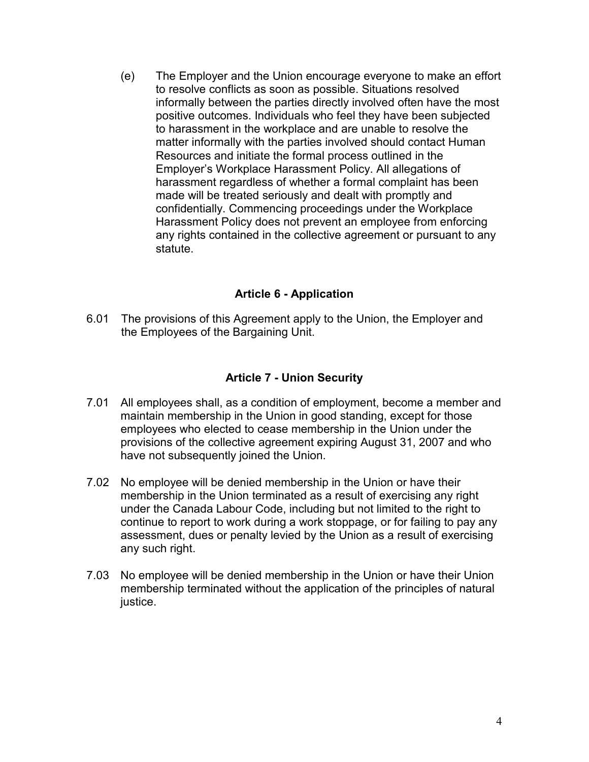(e) The Employer and the Union encourage everyone to make an effort to resolve conflicts as soon as possible. Situations resolved informally between the parties directly involved often have the most positive outcomes. Individuals who feel they have been subjected to harassment in the workplace and are unable to resolve the matter informally with the parties involved should contact Human Resources and initiate the formal process outlined in the Employer's Workplace Harassment Policy. All allegations of harassment regardless of whether a formal complaint has been made will be treated seriously and dealt with promptly and confidentially. Commencing proceedings under the Workplace Harassment Policy does not prevent an employee from enforcing any rights contained in the collective agreement or pursuant to any statute.

## **Article 6 - Application**

<span id="page-6-0"></span>6.01 The provisions of this Agreement apply to the Union, the Employer and the Employees of the Bargaining Unit.

### **Article 7 - Union Security**

- <span id="page-6-1"></span>7.01 All employees shall, as a condition of employment, become a member and maintain membership in the Union in good standing, except for those employees who elected to cease membership in the Union under the provisions of the collective agreement expiring August 31, 2007 and who have not subsequently joined the Union.
- 7.02 No employee will be denied membership in the Union or have their membership in the Union terminated as a result of exercising any right under the Canada Labour Code, including but not limited to the right to continue to report to work during a work stoppage, or for failing to pay any assessment, dues or penalty levied by the Union as a result of exercising any such right.
- 7.03 No employee will be denied membership in the Union or have their Union membership terminated without the application of the principles of natural justice.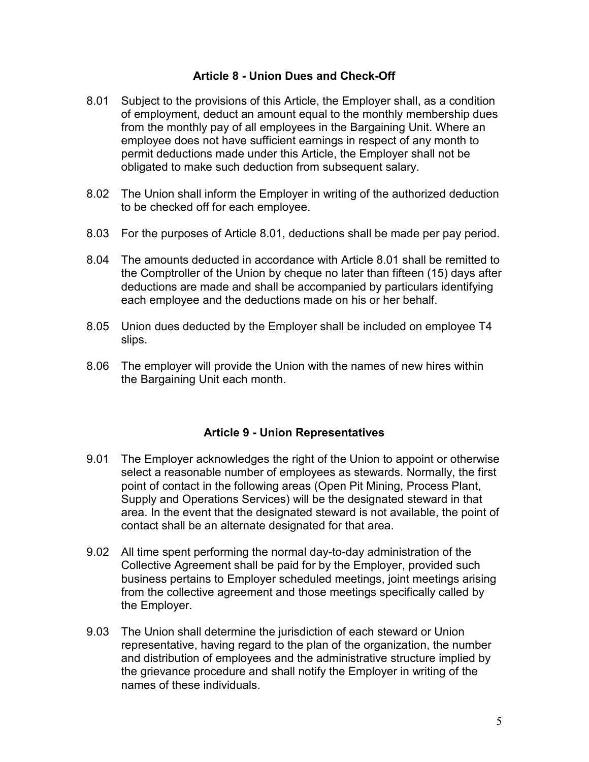### **Article 8 - Union Dues and Check-Off**

- <span id="page-7-0"></span>8.01 Subject to the provisions of this Article, the Employer shall, as a condition of employment, deduct an amount equal to the monthly membership dues from the monthly pay of all employees in the Bargaining Unit. Where an employee does not have sufficient earnings in respect of any month to permit deductions made under this Article, the Employer shall not be obligated to make such deduction from subsequent salary.
- 8.02 The Union shall inform the Employer in writing of the authorized deduction to be checked off for each employee.
- 8.03 For the purposes of Article 8.01, deductions shall be made per pay period.
- 8.04 The amounts deducted in accordance with Article 8.01 shall be remitted to the Comptroller of the Union by cheque no later than fifteen (15) days after deductions are made and shall be accompanied by particulars identifying each employee and the deductions made on his or her behalf.
- 8.05 Union dues deducted by the Employer shall be included on employee T4 slips.
- 8.06 The employer will provide the Union with the names of new hires within the Bargaining Unit each month.

### **Article 9 - Union Representatives**

- <span id="page-7-1"></span>9.01 The Employer acknowledges the right of the Union to appoint or otherwise select a reasonable number of employees as stewards. Normally, the first point of contact in the following areas (Open Pit Mining, Process Plant, Supply and Operations Services) will be the designated steward in that area. In the event that the designated steward is not available, the point of contact shall be an alternate designated for that area.
- 9.02 All time spent performing the normal day-to-day administration of the Collective Agreement shall be paid for by the Employer, provided such business pertains to Employer scheduled meetings, joint meetings arising from the collective agreement and those meetings specifically called by the Employer.
- 9.03 The Union shall determine the jurisdiction of each steward or Union representative, having regard to the plan of the organization, the number and distribution of employees and the administrative structure implied by the grievance procedure and shall notify the Employer in writing of the names of these individuals.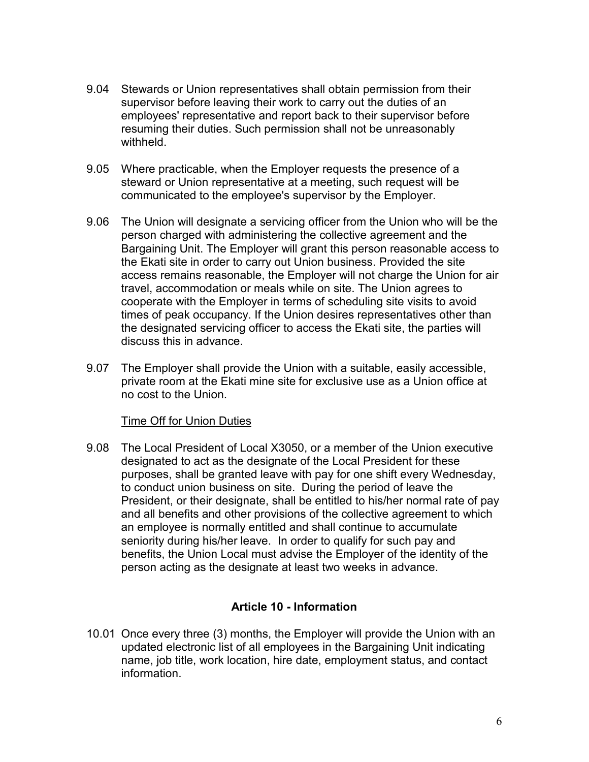- 9.04 Stewards or Union representatives shall obtain permission from their supervisor before leaving their work to carry out the duties of an employees' representative and report back to their supervisor before resuming their duties. Such permission shall not be unreasonably withheld.
- 9.05 Where practicable, when the Employer requests the presence of a steward or Union representative at a meeting, such request will be communicated to the employee's supervisor by the Employer.
- 9.06 The Union will designate a servicing officer from the Union who will be the person charged with administering the collective agreement and the Bargaining Unit. The Employer will grant this person reasonable access to the Ekati site in order to carry out Union business. Provided the site access remains reasonable, the Employer will not charge the Union for air travel, accommodation or meals while on site. The Union agrees to cooperate with the Employer in terms of scheduling site visits to avoid times of peak occupancy. If the Union desires representatives other than the designated servicing officer to access the Ekati site, the parties will discuss this in advance.
- 9.07 The Employer shall provide the Union with a suitable, easily accessible, private room at the Ekati mine site for exclusive use as a Union office at no cost to the Union.

#### Time Off for Union Duties

9.08 The Local President of Local X3050, or a member of the Union executive designated to act as the designate of the Local President for these purposes, shall be granted leave with pay for one shift every Wednesday, to conduct union business on site. During the period of leave the President, or their designate, shall be entitled to his/her normal rate of pay and all benefits and other provisions of the collective agreement to which an employee is normally entitled and shall continue to accumulate seniority during his/her leave. In order to qualify for such pay and benefits, the Union Local must advise the Employer of the identity of the person acting as the designate at least two weeks in advance.

### **Article 10 - Information**

<span id="page-8-0"></span>10.01 Once every three (3) months, the Employer will provide the Union with an updated electronic list of all employees in the Bargaining Unit indicating name, job title, work location, hire date, employment status, and contact information.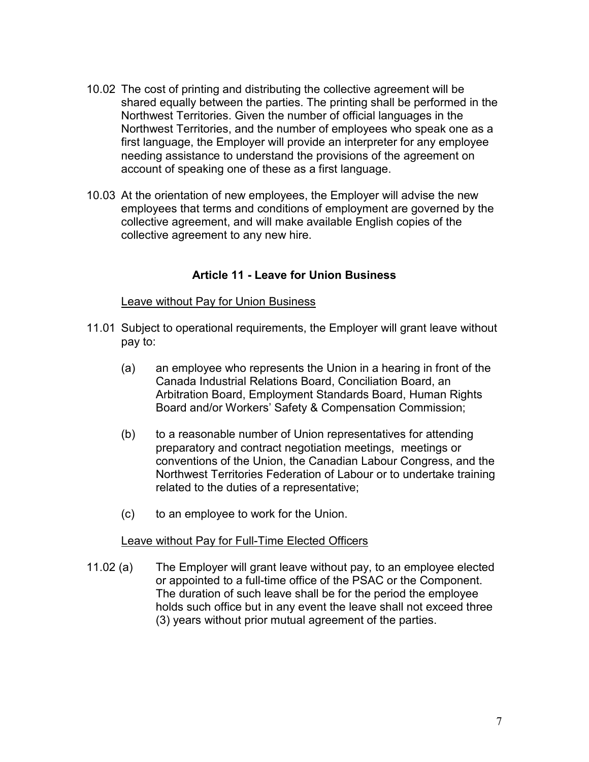- 10.02 The cost of printing and distributing the collective agreement will be shared equally between the parties. The printing shall be performed in the Northwest Territories. Given the number of official languages in the Northwest Territories, and the number of employees who speak one as a first language, the Employer will provide an interpreter for any employee needing assistance to understand the provisions of the agreement on account of speaking one of these as a first language.
- 10.03 At the orientation of new employees, the Employer will advise the new employees that terms and conditions of employment are governed by the collective agreement, and will make available English copies of the collective agreement to any new hire.

### **Article 11 - Leave for Union Business**

### <span id="page-9-0"></span>Leave without Pay for Union Business

- 11.01 Subject to operational requirements, the Employer will grant leave without pay to:
	- (a) an employee who represents the Union in a hearing in front of the Canada Industrial Relations Board, Conciliation Board, an Arbitration Board, Employment Standards Board, Human Rights Board and/or Workers' Safety & Compensation Commission;
	- (b) to a reasonable number of Union representatives for attending preparatory and contract negotiation meetings, meetings or conventions of the Union, the Canadian Labour Congress, and the Northwest Territories Federation of Labour or to undertake training related to the duties of a representative;
	- (c) to an employee to work for the Union.

#### Leave without Pay for Full-Time Elected Officers

11.02 (a) The Employer will grant leave without pay, to an employee elected or appointed to a full-time office of the PSAC or the Component. The duration of such leave shall be for the period the employee holds such office but in any event the leave shall not exceed three (3) years without prior mutual agreement of the parties.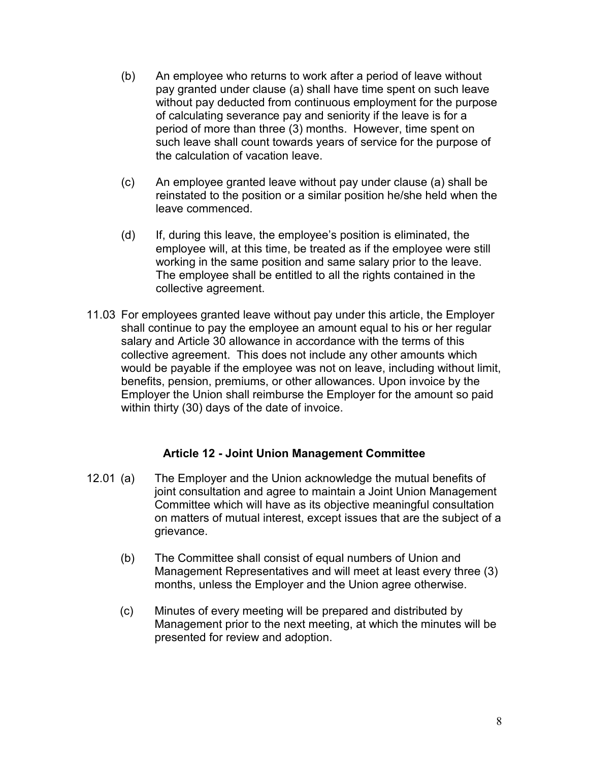- (b) An employee who returns to work after a period of leave without pay granted under clause (a) shall have time spent on such leave without pay deducted from continuous employment for the purpose of calculating severance pay and seniority if the leave is for a period of more than three (3) months. However, time spent on such leave shall count towards years of service for the purpose of the calculation of vacation leave.
- (c) An employee granted leave without pay under clause (a) shall be reinstated to the position or a similar position he/she held when the leave commenced.
- (d) If, during this leave, the employee's position is eliminated, the employee will, at this time, be treated as if the employee were still working in the same position and same salary prior to the leave. The employee shall be entitled to all the rights contained in the collective agreement.
- 11.03 For employees granted leave without pay under this article, the Employer shall continue to pay the employee an amount equal to his or her regular salary and Article 30 allowance in accordance with the terms of this collective agreement. This does not include any other amounts which would be payable if the employee was not on leave, including without limit, benefits, pension, premiums, or other allowances. Upon invoice by the Employer the Union shall reimburse the Employer for the amount so paid within thirty (30) days of the date of invoice.

### **Article 12 - Joint Union Management Committee**

- <span id="page-10-0"></span>12.01 (a) The Employer and the Union acknowledge the mutual benefits of joint consultation and agree to maintain a Joint Union Management Committee which will have as its objective meaningful consultation on matters of mutual interest, except issues that are the subject of a grievance.
	- (b) The Committee shall consist of equal numbers of Union and Management Representatives and will meet at least every three (3) months, unless the Employer and the Union agree otherwise.
	- (c) Minutes of every meeting will be prepared and distributed by Management prior to the next meeting, at which the minutes will be presented for review and adoption.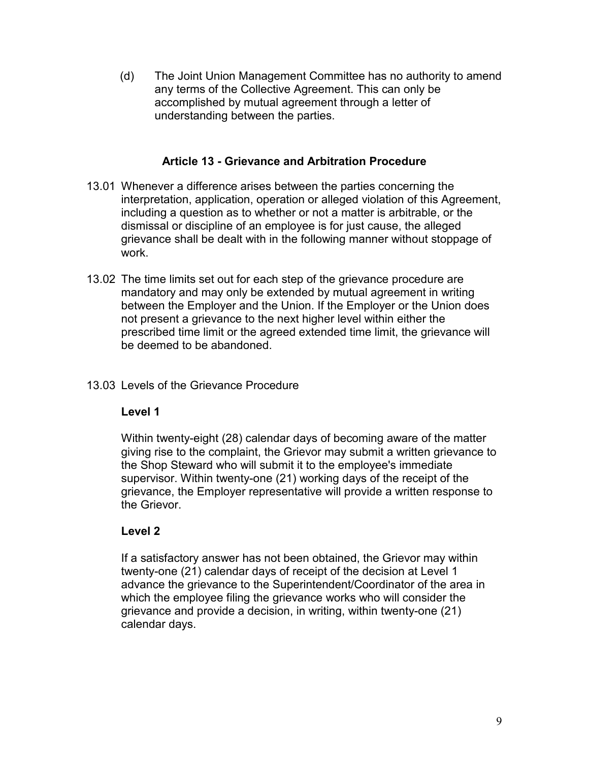(d) The Joint Union Management Committee has no authority to amend any terms of the Collective Agreement. This can only be accomplished by mutual agreement through a letter of understanding between the parties.

### **Article 13 - Grievance and Arbitration Procedure**

- <span id="page-11-0"></span>13.01 Whenever a difference arises between the parties concerning the interpretation, application, operation or alleged violation of this Agreement, including a question as to whether or not a matter is arbitrable, or the dismissal or discipline of an employee is for just cause, the alleged grievance shall be dealt with in the following manner without stoppage of work.
- 13.02 The time limits set out for each step of the grievance procedure are mandatory and may only be extended by mutual agreement in writing between the Employer and the Union. If the Employer or the Union does not present a grievance to the next higher level within either the prescribed time limit or the agreed extended time limit, the grievance will be deemed to be abandoned.

## 13.03 Levels of the Grievance Procedure

### **Level 1**

Within twenty-eight (28) calendar days of becoming aware of the matter giving rise to the complaint, the Grievor may submit a written grievance to the Shop Steward who will submit it to the employee's immediate supervisor. Within twenty-one (21) working days of the receipt of the grievance, the Employer representative will provide a written response to the Grievor.

## **Level 2**

If a satisfactory answer has not been obtained, the Grievor may within twenty-one (21) calendar days of receipt of the decision at Level 1 advance the grievance to the Superintendent/Coordinator of the area in which the employee filing the grievance works who will consider the grievance and provide a decision, in writing, within twenty-one (21) calendar days.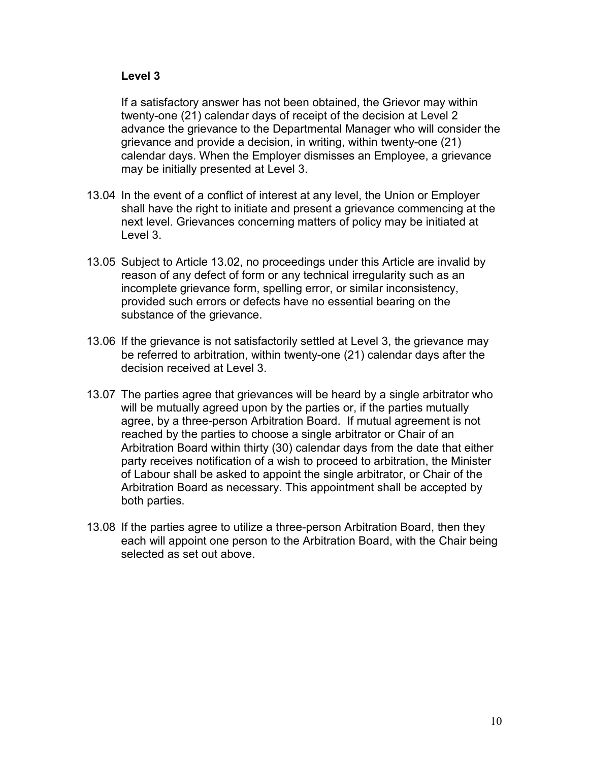## **Level 3**

If a satisfactory answer has not been obtained, the Grievor may within twenty-one (21) calendar days of receipt of the decision at Level 2 advance the grievance to the Departmental Manager who will consider the grievance and provide a decision, in writing, within twenty-one (21) calendar days. When the Employer dismisses an Employee, a grievance may be initially presented at Level 3.

- 13.04 In the event of a conflict of interest at any level, the Union or Employer shall have the right to initiate and present a grievance commencing at the next level. Grievances concerning matters of policy may be initiated at Level 3.
- 13.05 Subject to Article 13.02, no proceedings under this Article are invalid by reason of any defect of form or any technical irregularity such as an incomplete grievance form, spelling error, or similar inconsistency, provided such errors or defects have no essential bearing on the substance of the grievance.
- 13.06 If the grievance is not satisfactorily settled at Level 3, the grievance may be referred to arbitration, within twenty-one (21) calendar days after the decision received at Level 3.
- 13.07 The parties agree that grievances will be heard by a single arbitrator who will be mutually agreed upon by the parties or, if the parties mutually agree, by a three-person Arbitration Board. If mutual agreement is not reached by the parties to choose a single arbitrator or Chair of an Arbitration Board within thirty (30) calendar days from the date that either party receives notification of a wish to proceed to arbitration, the Minister of Labour shall be asked to appoint the single arbitrator, or Chair of the Arbitration Board as necessary. This appointment shall be accepted by both parties.
- 13.08 If the parties agree to utilize a three-person Arbitration Board, then they each will appoint one person to the Arbitration Board, with the Chair being selected as set out above.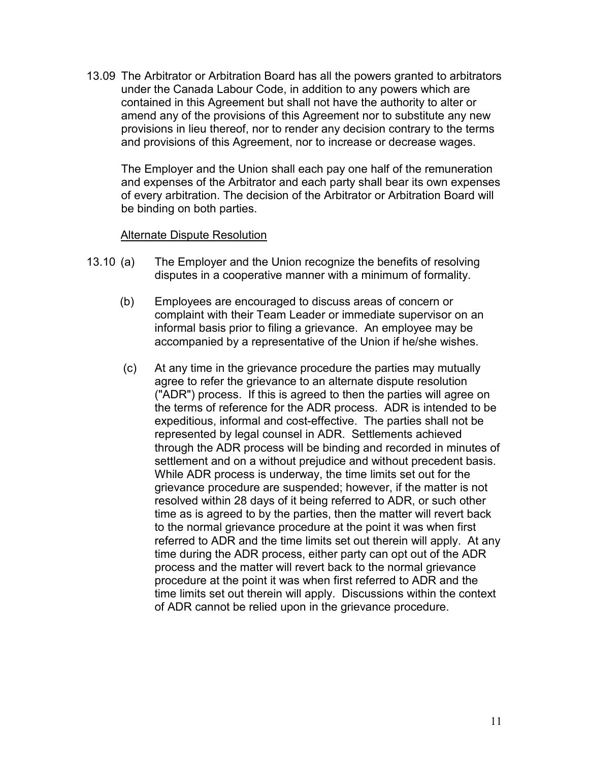13.09 The Arbitrator or Arbitration Board has all the powers granted to arbitrators under the Canada Labour Code, in addition to any powers which are contained in this Agreement but shall not have the authority to alter or amend any of the provisions of this Agreement nor to substitute any new provisions in lieu thereof, nor to render any decision contrary to the terms and provisions of this Agreement, nor to increase or decrease wages.

The Employer and the Union shall each pay one half of the remuneration and expenses of the Arbitrator and each party shall bear its own expenses of every arbitration. The decision of the Arbitrator or Arbitration Board will be binding on both parties.

#### Alternate Dispute Resolution

- 13.10 (a) The Employer and the Union recognize the benefits of resolving disputes in a cooperative manner with a minimum of formality.
	- (b) Employees are encouraged to discuss areas of concern or complaint with their Team Leader or immediate supervisor on an informal basis prior to filing a grievance. An employee may be accompanied by a representative of the Union if he/she wishes.
	- (c) At any time in the grievance procedure the parties may mutually agree to refer the grievance to an alternate dispute resolution ("ADR") process. If this is agreed to then the parties will agree on the terms of reference for the ADR process. ADR is intended to be expeditious, informal and cost-effective. The parties shall not be represented by legal counsel in ADR. Settlements achieved through the ADR process will be binding and recorded in minutes of settlement and on a without prejudice and without precedent basis. While ADR process is underway, the time limits set out for the grievance procedure are suspended; however, if the matter is not resolved within 28 days of it being referred to ADR, or such other time as is agreed to by the parties, then the matter will revert back to the normal grievance procedure at the point it was when first referred to ADR and the time limits set out therein will apply. At any time during the ADR process, either party can opt out of the ADR process and the matter will revert back to the normal grievance procedure at the point it was when first referred to ADR and the time limits set out therein will apply. Discussions within the context of ADR cannot be relied upon in the grievance procedure.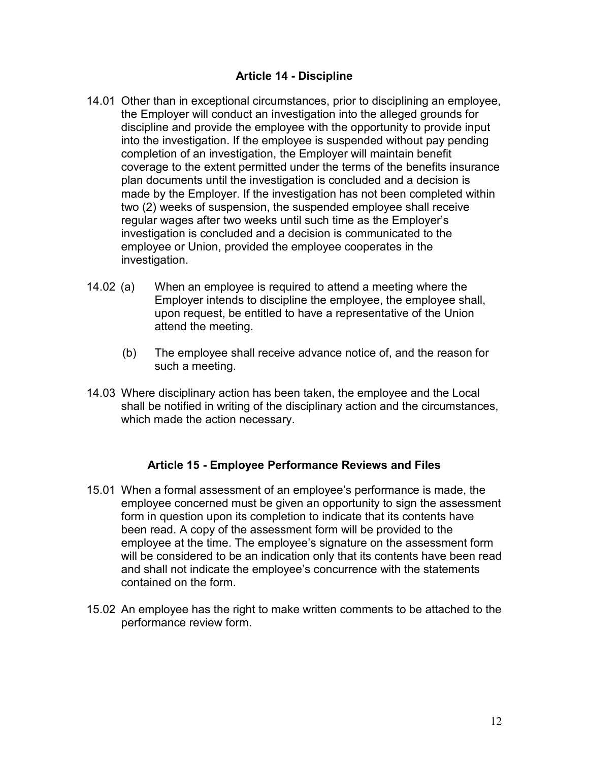## **Article 14 - Discipline**

- <span id="page-14-0"></span>14.01 Other than in exceptional circumstances, prior to disciplining an employee, the Employer will conduct an investigation into the alleged grounds for discipline and provide the employee with the opportunity to provide input into the investigation. If the employee is suspended without pay pending completion of an investigation, the Employer will maintain benefit coverage to the extent permitted under the terms of the benefits insurance plan documents until the investigation is concluded and a decision is made by the Employer. If the investigation has not been completed within two (2) weeks of suspension, the suspended employee shall receive regular wages after two weeks until such time as the Employer's investigation is concluded and a decision is communicated to the employee or Union, provided the employee cooperates in the investigation.
- 14.02 (a) When an employee is required to attend a meeting where the Employer intends to discipline the employee, the employee shall, upon request, be entitled to have a representative of the Union attend the meeting.
	- (b) The employee shall receive advance notice of, and the reason for such a meeting.
- 14.03 Where disciplinary action has been taken, the employee and the Local shall be notified in writing of the disciplinary action and the circumstances, which made the action necessary.

### **Article 15 - Employee Performance Reviews and Files**

- <span id="page-14-1"></span>15.01 When a formal assessment of an employee's performance is made, the employee concerned must be given an opportunity to sign the assessment form in question upon its completion to indicate that its contents have been read. A copy of the assessment form will be provided to the employee at the time. The employee's signature on the assessment form will be considered to be an indication only that its contents have been read and shall not indicate the employee's concurrence with the statements contained on the form.
- 15.02 An employee has the right to make written comments to be attached to the performance review form.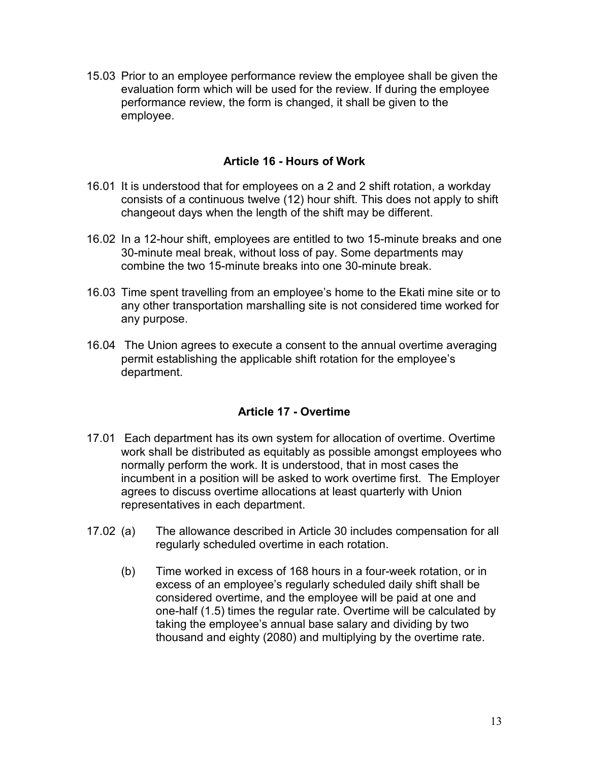15.03 Prior to an employee performance review the employee shall be given the evaluation form which will be used for the review. If during the employee performance review, the form is changed, it shall be given to the employee.

## **Article 16 - Hours of Work**

- <span id="page-15-0"></span>16.01 It is understood that for employees on a 2 and 2 shift rotation, a workday consists of a continuous twelve (12) hour shift. This does not apply to shift changeout days when the length of the shift may be different.
- 16.02 In a 12-hour shift, employees are entitled to two 15-minute breaks and one 30-minute meal break, without loss of pay. Some departments may combine the two 15-minute breaks into one 30-minute break.
- 16.03 Time spent travelling from an employee's home to the Ekati mine site or to any other transportation marshalling site is not considered time worked for any purpose.
- 16.04 The Union agrees to execute a consent to the annual overtime averaging permit establishing the applicable shift rotation for the employee's department.

## **Article 17 - Overtime**

- <span id="page-15-1"></span>17.01 Each department has its own system for allocation of overtime. Overtime work shall be distributed as equitably as possible amongst employees who normally perform the work. It is understood, that in most cases the incumbent in a position will be asked to work overtime first. The Employer agrees to discuss overtime allocations at least quarterly with Union representatives in each department.
- 17.02 (a) The allowance described in Article 30 includes compensation for all regularly scheduled overtime in each rotation.
	- (b) Time worked in excess of 168 hours in a four-week rotation, or in excess of an employee's regularly scheduled daily shift shall be considered overtime, and the employee will be paid at one and one-half (1.5) times the regular rate. Overtime will be calculated by taking the employee's annual base salary and dividing by two thousand and eighty (2080) and multiplying by the overtime rate.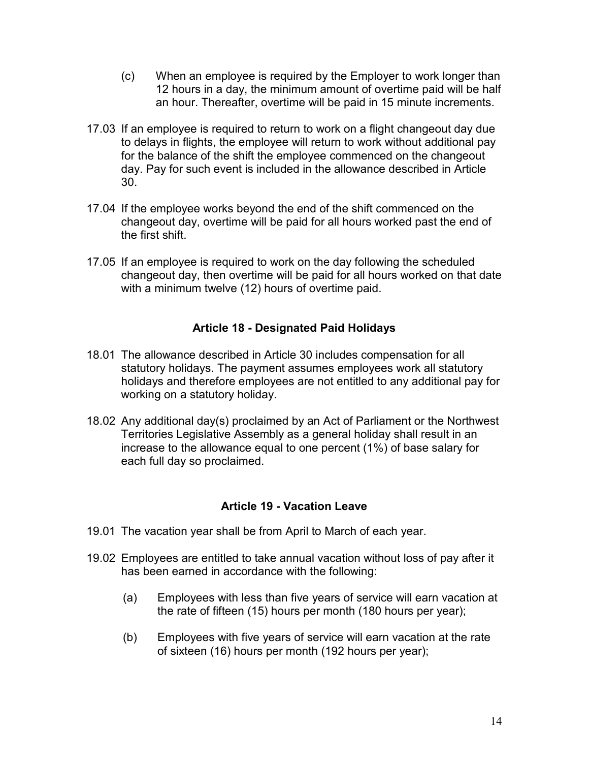- (c) When an employee is required by the Employer to work longer than 12 hours in a day, the minimum amount of overtime paid will be half an hour. Thereafter, overtime will be paid in 15 minute increments.
- 17.03 If an employee is required to return to work on a flight changeout day due to delays in flights, the employee will return to work without additional pay for the balance of the shift the employee commenced on the changeout day. Pay for such event is included in the allowance described in Article 30.
- 17.04 If the employee works beyond the end of the shift commenced on the changeout day, overtime will be paid for all hours worked past the end of the first shift.
- 17.05 If an employee is required to work on the day following the scheduled changeout day, then overtime will be paid for all hours worked on that date with a minimum twelve (12) hours of overtime paid.

## **Article 18 - Designated Paid Holidays**

- <span id="page-16-0"></span>18.01 The allowance described in Article 30 includes compensation for all statutory holidays. The payment assumes employees work all statutory holidays and therefore employees are not entitled to any additional pay for working on a statutory holiday.
- 18.02 Any additional day(s) proclaimed by an Act of Parliament or the Northwest Territories Legislative Assembly as a general holiday shall result in an increase to the allowance equal to one percent (1%) of base salary for each full day so proclaimed.

### **Article 19 - Vacation Leave**

- <span id="page-16-1"></span>19.01 The vacation year shall be from April to March of each year.
- 19.02 Employees are entitled to take annual vacation without loss of pay after it has been earned in accordance with the following:
	- (a) Employees with less than five years of service will earn vacation at the rate of fifteen (15) hours per month (180 hours per year);
	- (b) Employees with five years of service will earn vacation at the rate of sixteen (16) hours per month (192 hours per year);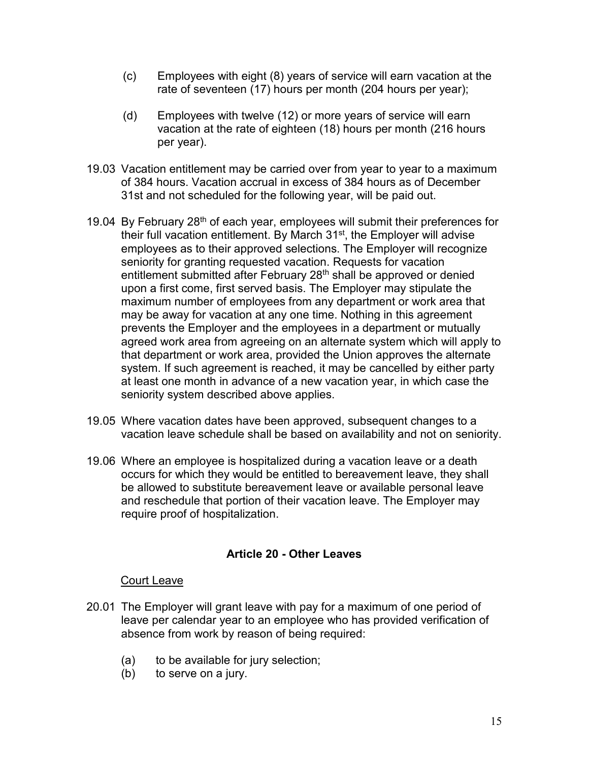- (c) Employees with eight (8) years of service will earn vacation at the rate of seventeen (17) hours per month (204 hours per year);
- (d) Employees with twelve (12) or more years of service will earn vacation at the rate of eighteen (18) hours per month (216 hours per year).
- 19.03 Vacation entitlement may be carried over from year to year to a maximum of 384 hours. Vacation accrual in excess of 384 hours as of December 31st and not scheduled for the following year, will be paid out.
- 19.04 By February 28<sup>th</sup> of each year, employees will submit their preferences for their full vacation entitlement. By March 31<sup>st</sup>, the Employer will advise employees as to their approved selections. The Employer will recognize seniority for granting requested vacation. Requests for vacation entitlement submitted after February 28<sup>th</sup> shall be approved or denied upon a first come, first served basis. The Employer may stipulate the maximum number of employees from any department or work area that may be away for vacation at any one time. Nothing in this agreement prevents the Employer and the employees in a department or mutually agreed work area from agreeing on an alternate system which will apply to that department or work area, provided the Union approves the alternate system. If such agreement is reached, it may be cancelled by either party at least one month in advance of a new vacation year, in which case the seniority system described above applies.
- 19.05 Where vacation dates have been approved, subsequent changes to a vacation leave schedule shall be based on availability and not on seniority.
- 19.06 Where an employee is hospitalized during a vacation leave or a death occurs for which they would be entitled to bereavement leave, they shall be allowed to substitute bereavement leave or available personal leave and reschedule that portion of their vacation leave. The Employer may require proof of hospitalization.

## **Article 20 - Other Leaves**

### <span id="page-17-0"></span>Court Leave

- 20.01 The Employer will grant leave with pay for a maximum of one period of leave per calendar year to an employee who has provided verification of absence from work by reason of being required:
	- (a) to be available for jury selection;
	- (b) to serve on a jury.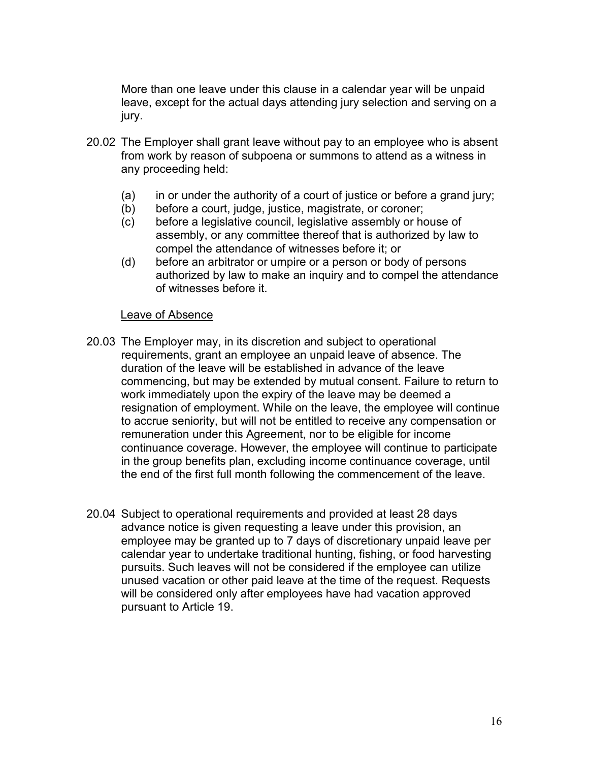More than one leave under this clause in a calendar year will be unpaid leave, except for the actual days attending jury selection and serving on a jury.

- 20.02 The Employer shall grant leave without pay to an employee who is absent from work by reason of subpoena or summons to attend as a witness in any proceeding held:
	- (a) in or under the authority of a court of justice or before a grand jury;
	- (b) before a court, judge, justice, magistrate, or coroner;
	- (c) before a legislative council, legislative assembly or house of assembly, or any committee thereof that is authorized by law to compel the attendance of witnesses before it; or
	- (d) before an arbitrator or umpire or a person or body of persons authorized by law to make an inquiry and to compel the attendance of witnesses before it.

#### Leave of Absence

- 20.03 The Employer may, in its discretion and subject to operational requirements, grant an employee an unpaid leave of absence. The duration of the leave will be established in advance of the leave commencing, but may be extended by mutual consent. Failure to return to work immediately upon the expiry of the leave may be deemed a resignation of employment. While on the leave, the employee will continue to accrue seniority, but will not be entitled to receive any compensation or remuneration under this Agreement, nor to be eligible for income continuance coverage. However, the employee will continue to participate in the group benefits plan, excluding income continuance coverage, until the end of the first full month following the commencement of the leave.
- 20.04 Subject to operational requirements and provided at least 28 days advance notice is given requesting a leave under this provision, an employee may be granted up to 7 days of discretionary unpaid leave per calendar year to undertake traditional hunting, fishing, or food harvesting pursuits. Such leaves will not be considered if the employee can utilize unused vacation or other paid leave at the time of the request. Requests will be considered only after employees have had vacation approved pursuant to Article 19.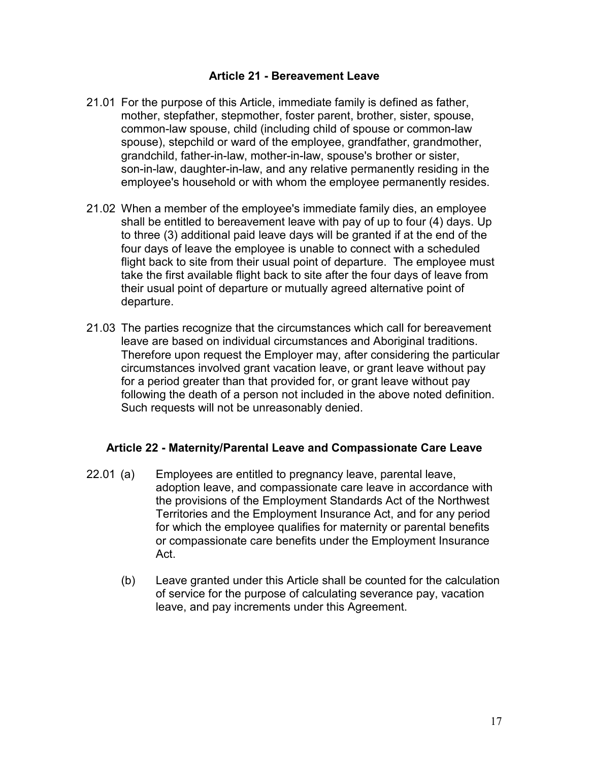### **Article 21 - Bereavement Leave**

- <span id="page-19-0"></span>21.01 For the purpose of this Article, immediate family is defined as father, mother, stepfather, stepmother, foster parent, brother, sister, spouse, common-law spouse, child (including child of spouse or common-law spouse), stepchild or ward of the employee, grandfather, grandmother, grandchild, father-in-law, mother-in-law, spouse's brother or sister, son-in-law, daughter-in-law, and any relative permanently residing in the employee's household or with whom the employee permanently resides.
- 21.02 When a member of the employee's immediate family dies, an employee shall be entitled to bereavement leave with pay of up to four (4) days. Up to three (3) additional paid leave days will be granted if at the end of the four days of leave the employee is unable to connect with a scheduled flight back to site from their usual point of departure. The employee must take the first available flight back to site after the four days of leave from their usual point of departure or mutually agreed alternative point of departure.
- 21.03 The parties recognize that the circumstances which call for bereavement leave are based on individual circumstances and Aboriginal traditions. Therefore upon request the Employer may, after considering the particular circumstances involved grant vacation leave, or grant leave without pay for a period greater than that provided for, or grant leave without pay following the death of a person not included in the above noted definition. Such requests will not be unreasonably denied.

### <span id="page-19-1"></span>**Article 22 - Maternity/Parental Leave and Compassionate Care Leave**

- 22.01 (a) Employees are entitled to pregnancy leave, parental leave, adoption leave, and compassionate care leave in accordance with the provisions of the Employment Standards Act of the Northwest Territories and the Employment Insurance Act, and for any period for which the employee qualifies for maternity or parental benefits or compassionate care benefits under the Employment Insurance Act.
	- (b) Leave granted under this Article shall be counted for the calculation of service for the purpose of calculating severance pay, vacation leave, and pay increments under this Agreement.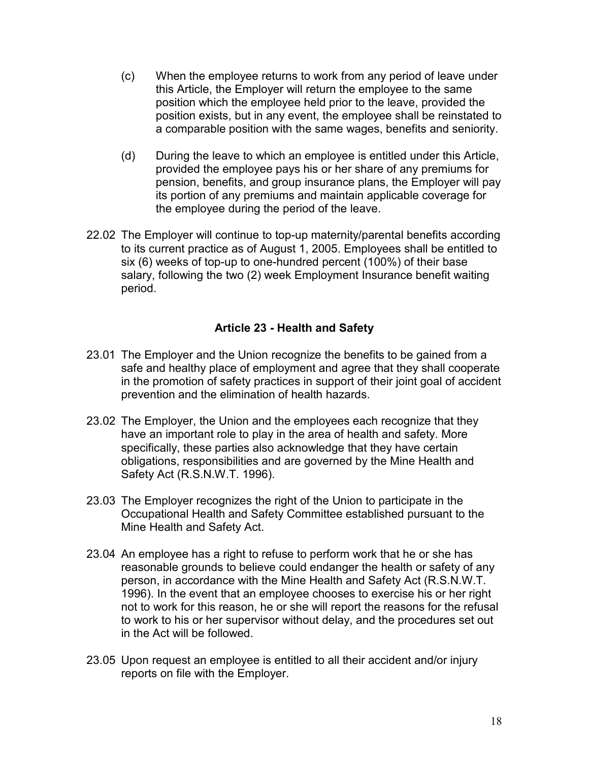- (c) When the employee returns to work from any period of leave under this Article, the Employer will return the employee to the same position which the employee held prior to the leave, provided the position exists, but in any event, the employee shall be reinstated to a comparable position with the same wages, benefits and seniority.
- (d) During the leave to which an employee is entitled under this Article, provided the employee pays his or her share of any premiums for pension, benefits, and group insurance plans, the Employer will pay its portion of any premiums and maintain applicable coverage for the employee during the period of the leave.
- 22.02 The Employer will continue to top-up maternity/parental benefits according to its current practice as of August 1, 2005. Employees shall be entitled to six (6) weeks of top-up to one-hundred percent (100%) of their base salary, following the two (2) week Employment Insurance benefit waiting period.

## **Article 23 - Health and Safety**

- <span id="page-20-0"></span>23.01 The Employer and the Union recognize the benefits to be gained from a safe and healthy place of employment and agree that they shall cooperate in the promotion of safety practices in support of their joint goal of accident prevention and the elimination of health hazards.
- 23.02 The Employer, the Union and the employees each recognize that they have an important role to play in the area of health and safety. More specifically, these parties also acknowledge that they have certain obligations, responsibilities and are governed by the Mine Health and Safety Act (R.S.N.W.T. 1996).
- 23.03 The Employer recognizes the right of the Union to participate in the Occupational Health and Safety Committee established pursuant to the Mine Health and Safety Act.
- 23.04 An employee has a right to refuse to perform work that he or she has reasonable grounds to believe could endanger the health or safety of any person, in accordance with the Mine Health and Safety Act (R.S.N.W.T. 1996). In the event that an employee chooses to exercise his or her right not to work for this reason, he or she will report the reasons for the refusal to work to his or her supervisor without delay, and the procedures set out in the Act will be followed.
- 23.05 Upon request an employee is entitled to all their accident and/or injury reports on file with the Employer.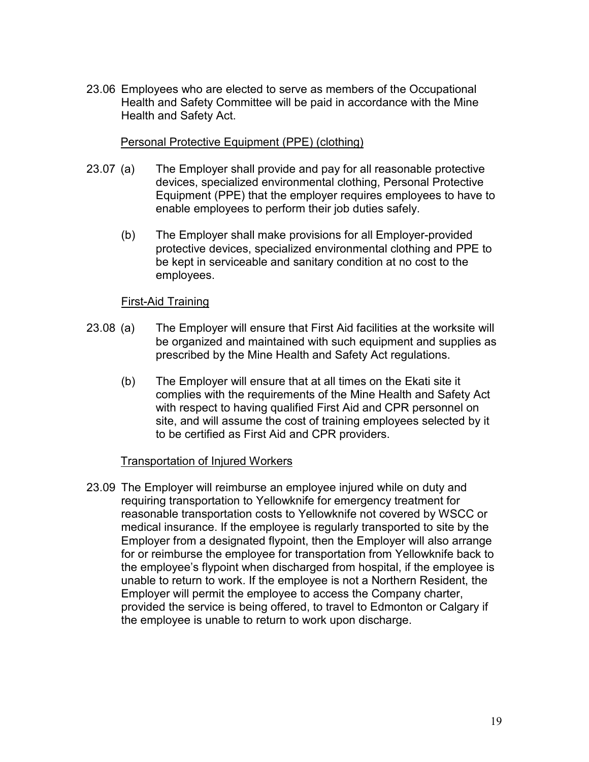23.06 Employees who are elected to serve as members of the Occupational Health and Safety Committee will be paid in accordance with the Mine Health and Safety Act.

### Personal Protective Equipment (PPE) (clothing)

- 23.07 (a) The Employer shall provide and pay for all reasonable protective devices, specialized environmental clothing, Personal Protective Equipment (PPE) that the employer requires employees to have to enable employees to perform their job duties safely.
	- (b) The Employer shall make provisions for all Employer-provided protective devices, specialized environmental clothing and PPE to be kept in serviceable and sanitary condition at no cost to the employees.

### First-Aid Training

- 23.08 (a) The Employer will ensure that First Aid facilities at the worksite will be organized and maintained with such equipment and supplies as prescribed by the Mine Health and Safety Act regulations.
	- (b) The Employer will ensure that at all times on the Ekati site it complies with the requirements of the Mine Health and Safety Act with respect to having qualified First Aid and CPR personnel on site, and will assume the cost of training employees selected by it to be certified as First Aid and CPR providers.

#### Transportation of Injured Workers

23.09 The Employer will reimburse an employee injured while on duty and requiring transportation to Yellowknife for emergency treatment for reasonable transportation costs to Yellowknife not covered by WSCC or medical insurance. If the employee is regularly transported to site by the Employer from a designated flypoint, then the Employer will also arrange for or reimburse the employee for transportation from Yellowknife back to the employee's flypoint when discharged from hospital, if the employee is unable to return to work. If the employee is not a Northern Resident, the Employer will permit the employee to access the Company charter, provided the service is being offered, to travel to Edmonton or Calgary if the employee is unable to return to work upon discharge.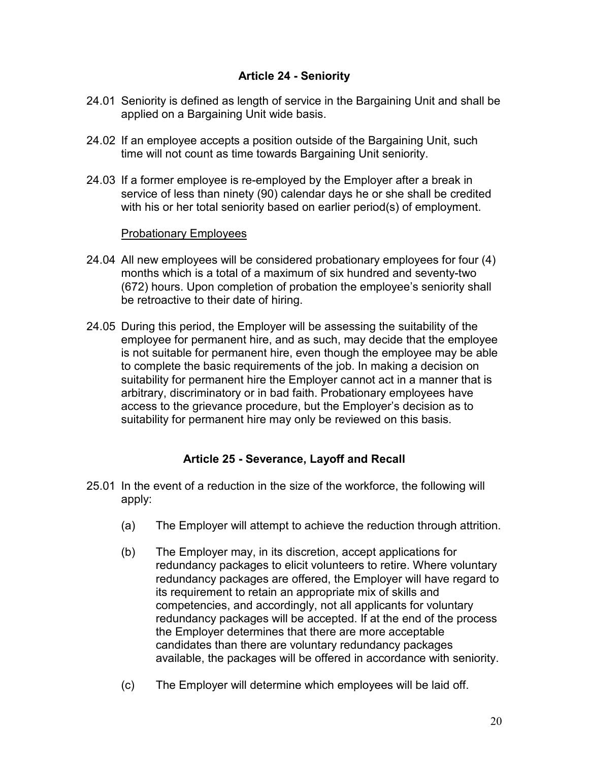## **Article 24 - Seniority**

- <span id="page-22-0"></span>24.01 Seniority is defined as length of service in the Bargaining Unit and shall be applied on a Bargaining Unit wide basis.
- 24.02 If an employee accepts a position outside of the Bargaining Unit, such time will not count as time towards Bargaining Unit seniority.
- 24.03 If a former employee is re-employed by the Employer after a break in service of less than ninety (90) calendar days he or she shall be credited with his or her total seniority based on earlier period(s) of employment.

### Probationary Employees

- 24.04 All new employees will be considered probationary employees for four (4) months which is a total of a maximum of six hundred and seventy-two (672) hours. Upon completion of probation the employee's seniority shall be retroactive to their date of hiring.
- 24.05 During this period, the Employer will be assessing the suitability of the employee for permanent hire, and as such, may decide that the employee is not suitable for permanent hire, even though the employee may be able to complete the basic requirements of the job. In making a decision on suitability for permanent hire the Employer cannot act in a manner that is arbitrary, discriminatory or in bad faith. Probationary employees have access to the grievance procedure, but the Employer's decision as to suitability for permanent hire may only be reviewed on this basis.

### **Article 25 - Severance, Layoff and Recall**

- <span id="page-22-1"></span>25.01 In the event of a reduction in the size of the workforce, the following will apply:
	- (a) The Employer will attempt to achieve the reduction through attrition.
	- (b) The Employer may, in its discretion, accept applications for redundancy packages to elicit volunteers to retire. Where voluntary redundancy packages are offered, the Employer will have regard to its requirement to retain an appropriate mix of skills and competencies, and accordingly, not all applicants for voluntary redundancy packages will be accepted. If at the end of the process the Employer determines that there are more acceptable candidates than there are voluntary redundancy packages available, the packages will be offered in accordance with seniority.
	- (c) The Employer will determine which employees will be laid off.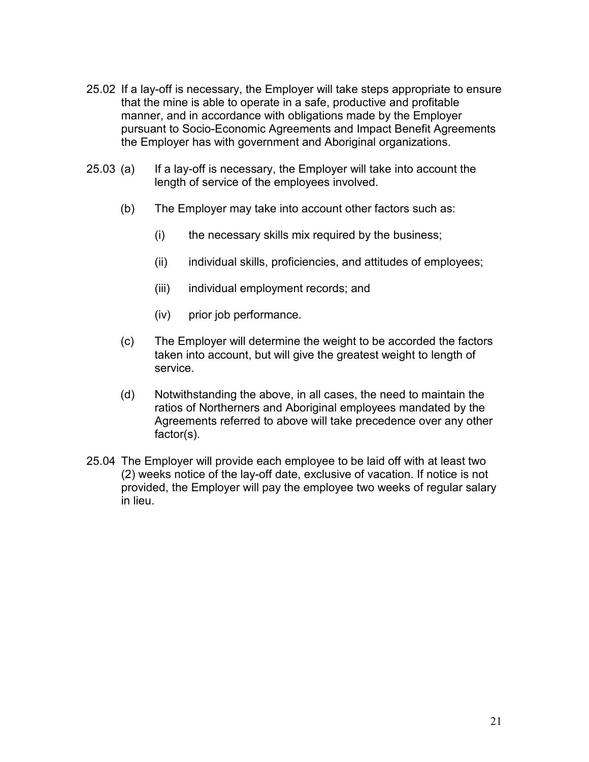- 25.02 If a lay-off is necessary, the Employer will take steps appropriate to ensure that the mine is able to operate in a safe, productive and profitable manner, and in accordance with obligations made by the Employer pursuant to Socio-Economic Agreements and Impact Benefit Agreements the Employer has with government and Aboriginal organizations.
- 25.03 (a) If a lay-off is necessary, the Employer will take into account the length of service of the employees involved.
	- (b) The Employer may take into account other factors such as:
		- $(i)$  the necessary skills mix required by the business;
		- (ii) individual skills, proficiencies, and attitudes of employees;
		- (iii) individual employment records; and
		- (iv) prior job performance.
	- (c) The Employer will determine the weight to be accorded the factors taken into account, but will give the greatest weight to length of service.
	- (d) Notwithstanding the above, in all cases, the need to maintain the ratios of Northerners and Aboriginal employees mandated by the Agreements referred to above will take precedence over any other factor(s).
- 25.04 The Employer will provide each employee to be laid off with at least two (2) weeks notice of the lay-off date, exclusive of vacation. If notice is not provided, the Employer will pay the employee two weeks of regular salary in lieu.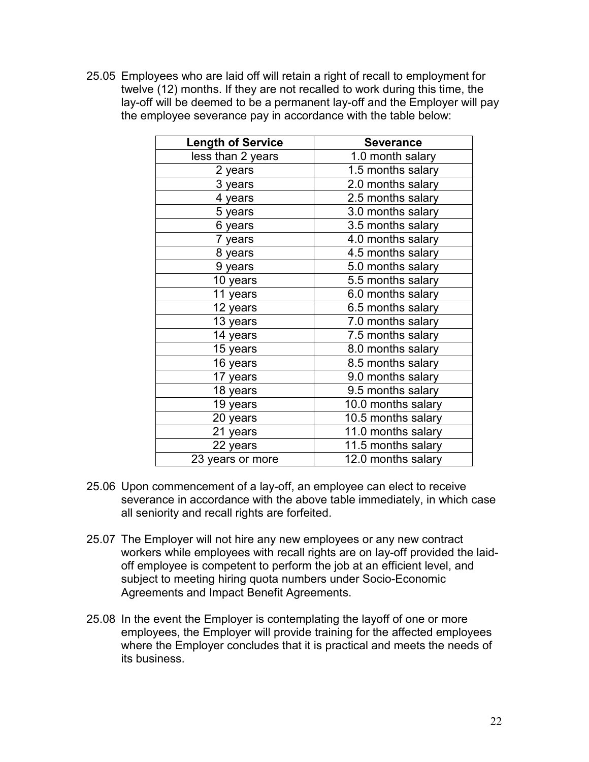25.05 Employees who are laid off will retain a right of recall to employment for twelve (12) months. If they are not recalled to work during this time, the lay-off will be deemed to be a permanent lay-off and the Employer will pay the employee severance pay in accordance with the table below:

| <b>Length of Service</b> | <b>Severance</b>    |
|--------------------------|---------------------|
| less than 2 years        | 1.0 month salary    |
| 2 years                  | 1.5 months salary   |
| 3 years                  | 2.0 months salary   |
| 4 years                  | $2.5$ months salary |
| 5 years                  | 3.0 months salary   |
| 6 years                  | 3.5 months salary   |
| 7 years                  | 4.0 months salary   |
| 8 years                  | 4.5 months salary   |
| 9 years                  | 5.0 months salary   |
| 10 years                 | 5.5 months salary   |
| 11 years                 | 6.0 months salary   |
| 12 years                 | 6.5 months salary   |
| 13 years                 | 7.0 months salary   |
| 14 years                 | 7.5 months salary   |
| 15 years                 | 8.0 months salary   |
| 16 years                 | 8.5 months salary   |
| 17 years                 | 9.0 months salary   |
| 18 years                 | 9.5 months salary   |
| 19 years                 | 10.0 months salary  |
| 20 years                 | 10.5 months salary  |
| 21 years                 | 11.0 months salary  |
| 22 years                 | 11.5 months salary  |
| 23 years or more         | 12.0 months salary  |

- 25.06 Upon commencement of a lay-off, an employee can elect to receive severance in accordance with the above table immediately, in which case all seniority and recall rights are forfeited.
- 25.07 The Employer will not hire any new employees or any new contract workers while employees with recall rights are on lay-off provided the laidoff employee is competent to perform the job at an efficient level, and subject to meeting hiring quota numbers under Socio-Economic Agreements and Impact Benefit Agreements.
- 25.08 In the event the Employer is contemplating the layoff of one or more employees, the Employer will provide training for the affected employees where the Employer concludes that it is practical and meets the needs of its business.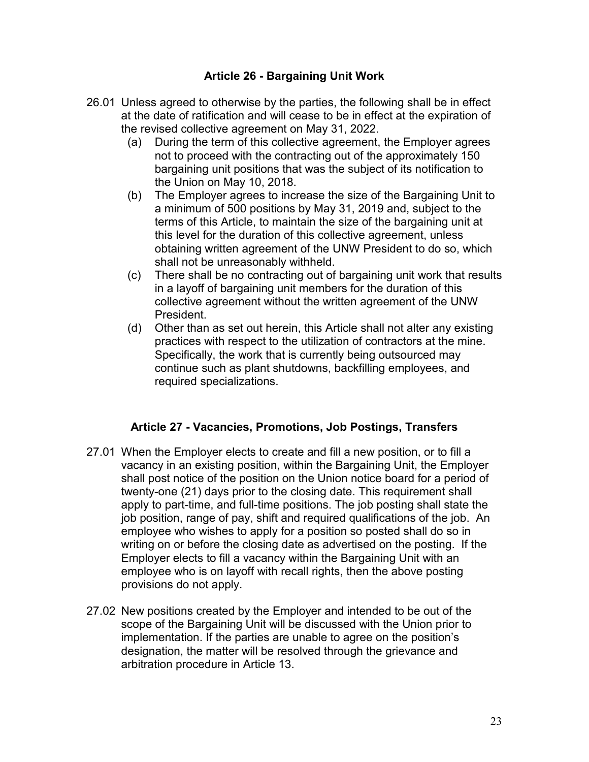## **Article 26 - Bargaining Unit Work**

- <span id="page-25-0"></span>26.01 Unless agreed to otherwise by the parties, the following shall be in effect at the date of ratification and will cease to be in effect at the expiration of the revised collective agreement on May 31, 2022.
	- (a) During the term of this collective agreement, the Employer agrees not to proceed with the contracting out of the approximately 150 bargaining unit positions that was the subject of its notification to the Union on May 10, 2018.
	- (b) The Employer agrees to increase the size of the Bargaining Unit to a minimum of 500 positions by May 31, 2019 and, subject to the terms of this Article, to maintain the size of the bargaining unit at this level for the duration of this collective agreement, unless obtaining written agreement of the UNW President to do so, which shall not be unreasonably withheld.
	- (c) There shall be no contracting out of bargaining unit work that results in a layoff of bargaining unit members for the duration of this collective agreement without the written agreement of the UNW President.
	- (d) Other than as set out herein, this Article shall not alter any existing practices with respect to the utilization of contractors at the mine. Specifically, the work that is currently being outsourced may continue such as plant shutdowns, backfilling employees, and required specializations.

## **Article 27 - Vacancies, Promotions, Job Postings, Transfers**

- <span id="page-25-1"></span>27.01 When the Employer elects to create and fill a new position, or to fill a vacancy in an existing position, within the Bargaining Unit, the Employer shall post notice of the position on the Union notice board for a period of twenty-one (21) days prior to the closing date. This requirement shall apply to part-time, and full-time positions. The job posting shall state the job position, range of pay, shift and required qualifications of the job. An employee who wishes to apply for a position so posted shall do so in writing on or before the closing date as advertised on the posting. If the Employer elects to fill a vacancy within the Bargaining Unit with an employee who is on layoff with recall rights, then the above posting provisions do not apply.
- 27.02 New positions created by the Employer and intended to be out of the scope of the Bargaining Unit will be discussed with the Union prior to implementation. If the parties are unable to agree on the position's designation, the matter will be resolved through the grievance and arbitration procedure in Article 13.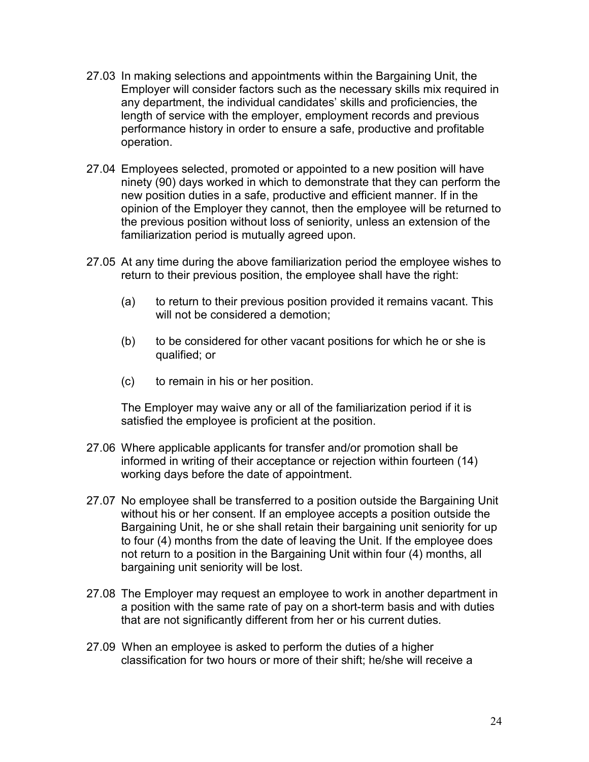- 27.03 In making selections and appointments within the Bargaining Unit, the Employer will consider factors such as the necessary skills mix required in any department, the individual candidates' skills and proficiencies, the length of service with the employer, employment records and previous performance history in order to ensure a safe, productive and profitable operation.
- 27.04 Employees selected, promoted or appointed to a new position will have ninety (90) days worked in which to demonstrate that they can perform the new position duties in a safe, productive and efficient manner. If in the opinion of the Employer they cannot, then the employee will be returned to the previous position without loss of seniority, unless an extension of the familiarization period is mutually agreed upon.
- 27.05 At any time during the above familiarization period the employee wishes to return to their previous position, the employee shall have the right:
	- (a) to return to their previous position provided it remains vacant. This will not be considered a demotion;
	- (b) to be considered for other vacant positions for which he or she is qualified; or
	- (c) to remain in his or her position.

The Employer may waive any or all of the familiarization period if it is satisfied the employee is proficient at the position.

- 27.06 Where applicable applicants for transfer and/or promotion shall be informed in writing of their acceptance or rejection within fourteen (14) working days before the date of appointment.
- 27.07 No employee shall be transferred to a position outside the Bargaining Unit without his or her consent. If an employee accepts a position outside the Bargaining Unit, he or she shall retain their bargaining unit seniority for up to four (4) months from the date of leaving the Unit. If the employee does not return to a position in the Bargaining Unit within four (4) months, all bargaining unit seniority will be lost.
- 27.08 The Employer may request an employee to work in another department in a position with the same rate of pay on a short-term basis and with duties that are not significantly different from her or his current duties.
- 27.09 When an employee is asked to perform the duties of a higher classification for two hours or more of their shift; he/she will receive a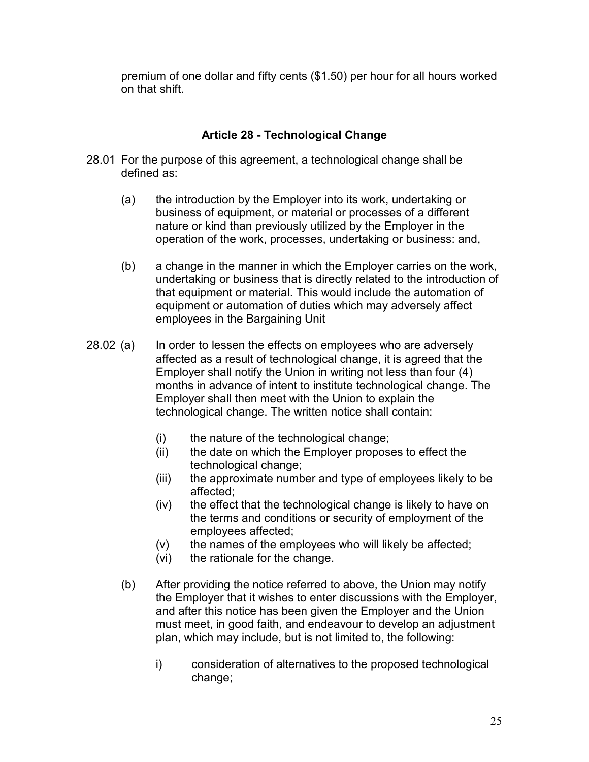premium of one dollar and fifty cents (\$1.50) per hour for all hours worked on that shift.

## **Article 28 - Technological Change**

- <span id="page-27-0"></span>28.01 For the purpose of this agreement, a technological change shall be defined as:
	- (a) the introduction by the Employer into its work, undertaking or business of equipment, or material or processes of a different nature or kind than previously utilized by the Employer in the operation of the work, processes, undertaking or business: and,
	- (b) a change in the manner in which the Employer carries on the work, undertaking or business that is directly related to the introduction of that equipment or material. This would include the automation of equipment or automation of duties which may adversely affect employees in the Bargaining Unit
- 28.02 (a) In order to lessen the effects on employees who are adversely affected as a result of technological change, it is agreed that the Employer shall notify the Union in writing not less than four (4) months in advance of intent to institute technological change. The Employer shall then meet with the Union to explain the technological change. The written notice shall contain:
	- (i) the nature of the technological change;
	- (ii) the date on which the Employer proposes to effect the technological change;
	- (iii) the approximate number and type of employees likely to be affected;
	- (iv) the effect that the technological change is likely to have on the terms and conditions or security of employment of the employees affected;
	- (v) the names of the employees who will likely be affected;
	- (vi) the rationale for the change.
	- (b) After providing the notice referred to above, the Union may notify the Employer that it wishes to enter discussions with the Employer, and after this notice has been given the Employer and the Union must meet, in good faith, and endeavour to develop an adjustment plan, which may include, but is not limited to, the following:
		- i) consideration of alternatives to the proposed technological change;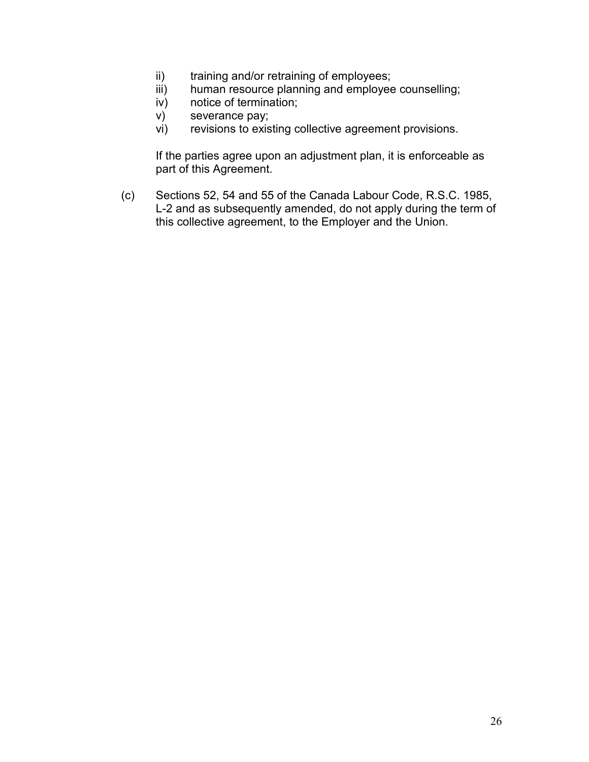- ii) training and/or retraining of employees;
- iii) human resource planning and employee counselling;
- iv) notice of termination;
- v) severance pay;
- vi) revisions to existing collective agreement provisions.

If the parties agree upon an adjustment plan, it is enforceable as part of this Agreement.

(c) Sections 52, 54 and 55 of the Canada Labour Code, R.S.C. 1985, L-2 and as subsequently amended, do not apply during the term of this collective agreement, to the Employer and the Union.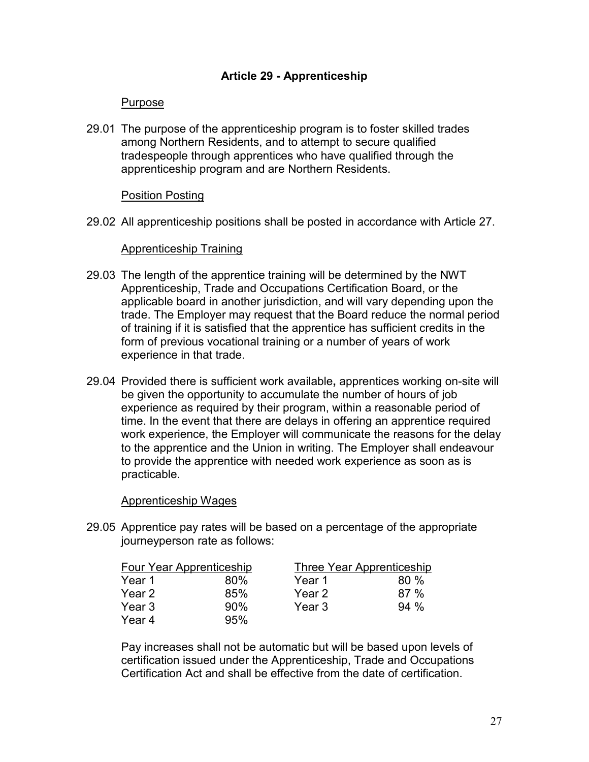## **Article 29 - Apprenticeship**

### <span id="page-29-0"></span>Purpose

29.01 The purpose of the apprenticeship program is to foster skilled trades among Northern Residents, and to attempt to secure qualified tradespeople through apprentices who have qualified through the apprenticeship program and are Northern Residents.

### Position Posting

29.02 All apprenticeship positions shall be posted in accordance with Article 27.

### Apprenticeship Training

- 29.03 The length of the apprentice training will be determined by the NWT Apprenticeship, Trade and Occupations Certification Board, or the applicable board in another jurisdiction, and will vary depending upon the trade. The Employer may request that the Board reduce the normal period of training if it is satisfied that the apprentice has sufficient credits in the form of previous vocational training or a number of years of work experience in that trade.
- 29.04 Provided there is sufficient work available**,** apprentices working on-site will be given the opportunity to accumulate the number of hours of job experience as required by their program, within a reasonable period of time. In the event that there are delays in offering an apprentice required work experience, the Employer will communicate the reasons for the delay to the apprentice and the Union in writing. The Employer shall endeavour to provide the apprentice with needed work experience as soon as is practicable.

#### Apprenticeship Wages

29.05 Apprentice pay rates will be based on a percentage of the appropriate journeyperson rate as follows:

| Four Year Apprenticeship |     | Three Year Apprenticeship |        |  |
|--------------------------|-----|---------------------------|--------|--|
| Year 1                   | 80% | Year 1                    | $80\%$ |  |
| Year 2                   | 85% | Year 2                    | 87%    |  |
| Year 3                   | 90% | Year 3                    | 94%    |  |
| Year 4                   | 95% |                           |        |  |

Pay increases shall not be automatic but will be based upon levels of certification issued under the Apprenticeship, Trade and Occupations Certification Act and shall be effective from the date of certification.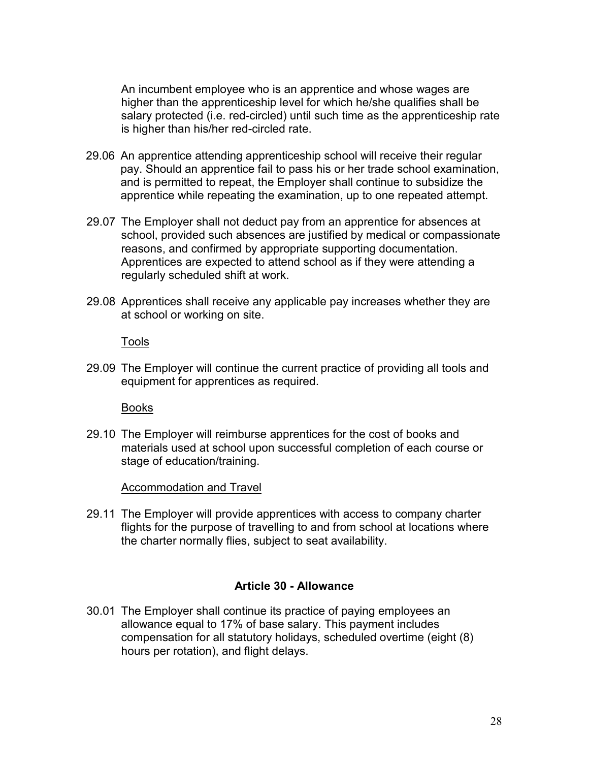An incumbent employee who is an apprentice and whose wages are higher than the apprenticeship level for which he/she qualifies shall be salary protected (i.e. red-circled) until such time as the apprenticeship rate is higher than his/her red-circled rate.

- 29.06 An apprentice attending apprenticeship school will receive their regular pay. Should an apprentice fail to pass his or her trade school examination, and is permitted to repeat, the Employer shall continue to subsidize the apprentice while repeating the examination, up to one repeated attempt.
- 29.07 The Employer shall not deduct pay from an apprentice for absences at school, provided such absences are justified by medical or compassionate reasons, and confirmed by appropriate supporting documentation. Apprentices are expected to attend school as if they were attending a regularly scheduled shift at work.
- 29.08 Apprentices shall receive any applicable pay increases whether they are at school or working on site.

Tools

29.09 The Employer will continue the current practice of providing all tools and equipment for apprentices as required.

Books

29.10 The Employer will reimburse apprentices for the cost of books and materials used at school upon successful completion of each course or stage of education/training.

Accommodation and Travel

29.11 The Employer will provide apprentices with access to company charter flights for the purpose of travelling to and from school at locations where the charter normally flies, subject to seat availability.

#### **Article 30 - Allowance**

<span id="page-30-0"></span>30.01 The Employer shall continue its practice of paying employees an allowance equal to 17% of base salary. This payment includes compensation for all statutory holidays, scheduled overtime (eight (8) hours per rotation), and flight delays.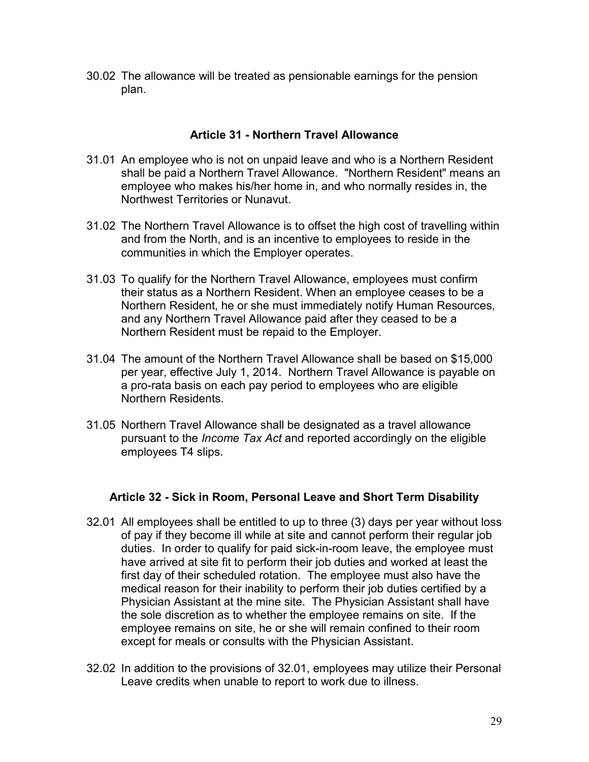30.02 The allowance will be treated as pensionable earnings for the pension plan.

## **Article 31 - Northern Travel Allowance**

- <span id="page-31-0"></span>31.01 An employee who is not on unpaid leave and who is a Northern Resident shall be paid a Northern Travel Allowance. "Northern Resident" means an employee who makes his/her home in, and who normally resides in, the Northwest Territories or Nunavut.
- 31.02 The Northern Travel Allowance is to offset the high cost of travelling within and from the North, and is an incentive to employees to reside in the communities in which the Employer operates.
- 31.03 To qualify for the Northern Travel Allowance, employees must confirm their status as a Northern Resident. When an employee ceases to be a Northern Resident, he or she must immediately notify Human Resources, and any Northern Travel Allowance paid after they ceased to be a Northern Resident must be repaid to the Employer.
- 31.04 The amount of the Northern Travel Allowance shall be based on \$15,000 per year, effective July 1, 2014. Northern Travel Allowance is payable on a pro-rata basis on each pay period to employees who are eligible Northern Residents.
- 31.05 Northern Travel Allowance shall be designated as a travel allowance pursuant to the *Income Tax Act* and reported accordingly on the eligible employees T4 slips.

## <span id="page-31-1"></span>**Article 32 - Sick in Room, Personal Leave and Short Term Disability**

- 32.01 All employees shall be entitled to up to three (3) days per year without loss of pay if they become ill while at site and cannot perform their regular job duties. In order to qualify for paid sick-in-room leave, the employee must have arrived at site fit to perform their job duties and worked at least the first day of their scheduled rotation. The employee must also have the medical reason for their inability to perform their job duties certified by a Physician Assistant at the mine site. The Physician Assistant shall have the sole discretion as to whether the employee remains on site. If the employee remains on site, he or she will remain confined to their room except for meals or consults with the Physician Assistant.
- 32.02 In addition to the provisions of 32.01, employees may utilize their Personal Leave credits when unable to report to work due to illness.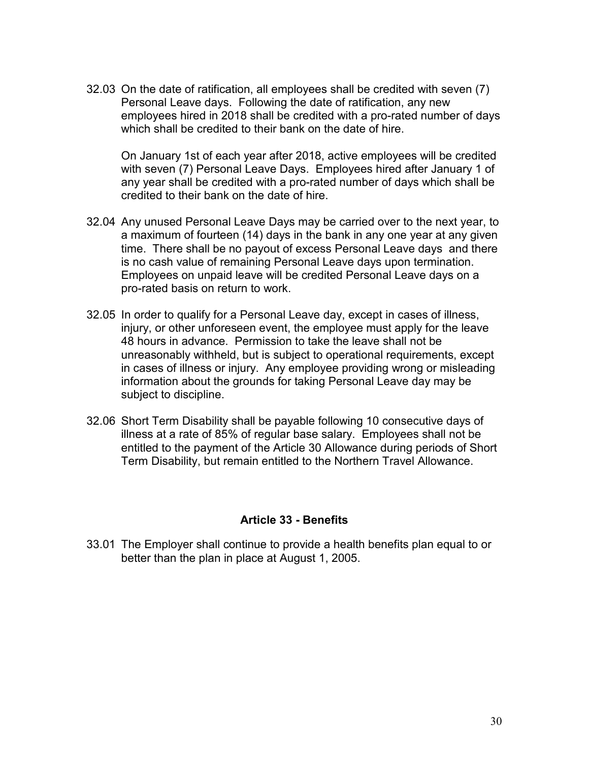32.03 On the date of ratification, all employees shall be credited with seven (7) Personal Leave days. Following the date of ratification, any new employees hired in 2018 shall be credited with a pro-rated number of days which shall be credited to their bank on the date of hire.

On January 1st of each year after 2018, active employees will be credited with seven (7) Personal Leave Days. Employees hired after January 1 of any year shall be credited with a pro-rated number of days which shall be credited to their bank on the date of hire.

- 32.04 Any unused Personal Leave Days may be carried over to the next year, to a maximum of fourteen (14) days in the bank in any one year at any given time. There shall be no payout of excess Personal Leave days and there is no cash value of remaining Personal Leave days upon termination. Employees on unpaid leave will be credited Personal Leave days on a pro-rated basis on return to work.
- 32.05 In order to qualify for a Personal Leave day, except in cases of illness, injury, or other unforeseen event, the employee must apply for the leave 48 hours in advance. Permission to take the leave shall not be unreasonably withheld, but is subject to operational requirements, except in cases of illness or injury. Any employee providing wrong or misleading information about the grounds for taking Personal Leave day may be subject to discipline.
- 32.06 Short Term Disability shall be payable following 10 consecutive days of illness at a rate of 85% of regular base salary. Employees shall not be entitled to the payment of the Article 30 Allowance during periods of Short Term Disability, but remain entitled to the Northern Travel Allowance.

### **Article 33 - Benefits**

<span id="page-32-0"></span>33.01 The Employer shall continue to provide a health benefits plan equal to or better than the plan in place at August 1, 2005.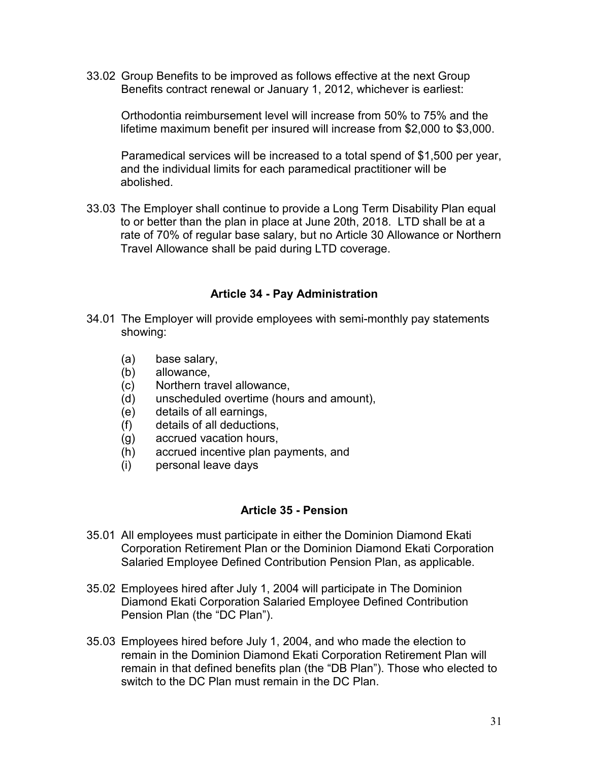33.02 Group Benefits to be improved as follows effective at the next Group Benefits contract renewal or January 1, 2012, whichever is earliest:

Orthodontia reimbursement level will increase from 50% to 75% and the lifetime maximum benefit per insured will increase from \$2,000 to \$3,000.

Paramedical services will be increased to a total spend of \$1,500 per year, and the individual limits for each paramedical practitioner will be abolished.

33.03 The Employer shall continue to provide a Long Term Disability Plan equal to or better than the plan in place at June 20th, 2018. LTD shall be at a rate of 70% of regular base salary, but no Article 30 Allowance or Northern Travel Allowance shall be paid during LTD coverage.

### **Article 34 - Pay Administration**

- <span id="page-33-0"></span>34.01 The Employer will provide employees with semi-monthly pay statements showing:
	- (a) base salary,
	- (b) allowance,
	- (c) Northern travel allowance,
	- (d) unscheduled overtime (hours and amount),
	- (e) details of all earnings,
	- (f) details of all deductions,
	- (g) accrued vacation hours,
	- (h) accrued incentive plan payments, and
	- (i) personal leave days

### **Article 35 - Pension**

- <span id="page-33-1"></span>35.01 All employees must participate in either the Dominion Diamond Ekati Corporation Retirement Plan or the Dominion Diamond Ekati Corporation Salaried Employee Defined Contribution Pension Plan, as applicable.
- 35.02 Employees hired after July 1, 2004 will participate in The Dominion Diamond Ekati Corporation Salaried Employee Defined Contribution Pension Plan (the "DC Plan").
- 35.03 Employees hired before July 1, 2004, and who made the election to remain in the Dominion Diamond Ekati Corporation Retirement Plan will remain in that defined benefits plan (the "DB Plan"). Those who elected to switch to the DC Plan must remain in the DC Plan.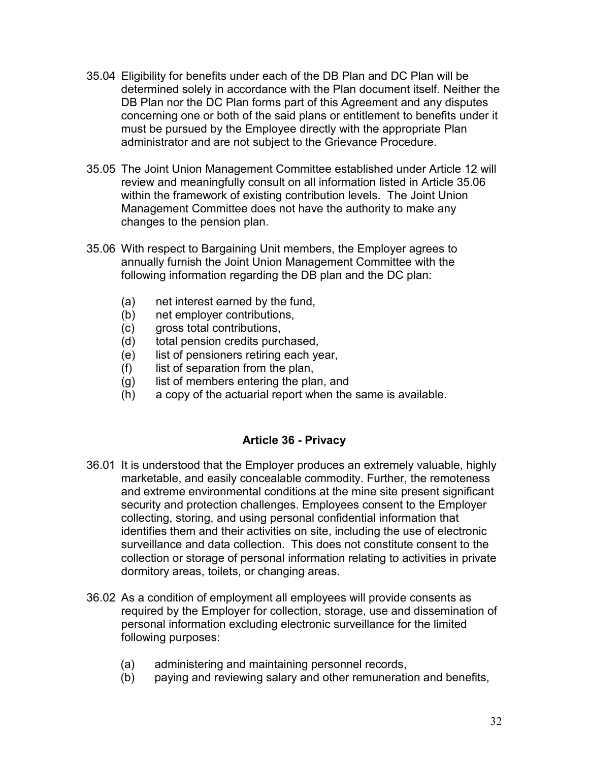- 35.04 Eligibility for benefits under each of the DB Plan and DC Plan will be determined solely in accordance with the Plan document itself. Neither the DB Plan nor the DC Plan forms part of this Agreement and any disputes concerning one or both of the said plans or entitlement to benefits under it must be pursued by the Employee directly with the appropriate Plan administrator and are not subject to the Grievance Procedure.
- 35.05 The Joint Union Management Committee established under Article 12 will review and meaningfully consult on all information listed in Article 35.06 within the framework of existing contribution levels. The Joint Union Management Committee does not have the authority to make any changes to the pension plan.
- 35.06 With respect to Bargaining Unit members, the Employer agrees to annually furnish the Joint Union Management Committee with the following information regarding the DB plan and the DC plan:
	- (a) net interest earned by the fund,
	- (b) net employer contributions,
	- (c) gross total contributions,
	- (d) total pension credits purchased,
	- (e) list of pensioners retiring each year,
	- (f) list of separation from the plan,
	- (g) list of members entering the plan, and
	- (h) a copy of the actuarial report when the same is available.

## **Article 36 - Privacy**

- <span id="page-34-0"></span>36.01 It is understood that the Employer produces an extremely valuable, highly marketable, and easily concealable commodity. Further, the remoteness and extreme environmental conditions at the mine site present significant security and protection challenges. Employees consent to the Employer collecting, storing, and using personal confidential information that identifies them and their activities on site, including the use of electronic surveillance and data collection. This does not constitute consent to the collection or storage of personal information relating to activities in private dormitory areas, toilets, or changing areas.
- 36.02 As a condition of employment all employees will provide consents as required by the Employer for collection, storage, use and dissemination of personal information excluding electronic surveillance for the limited following purposes:
	- (a) administering and maintaining personnel records,
	- (b) paying and reviewing salary and other remuneration and benefits,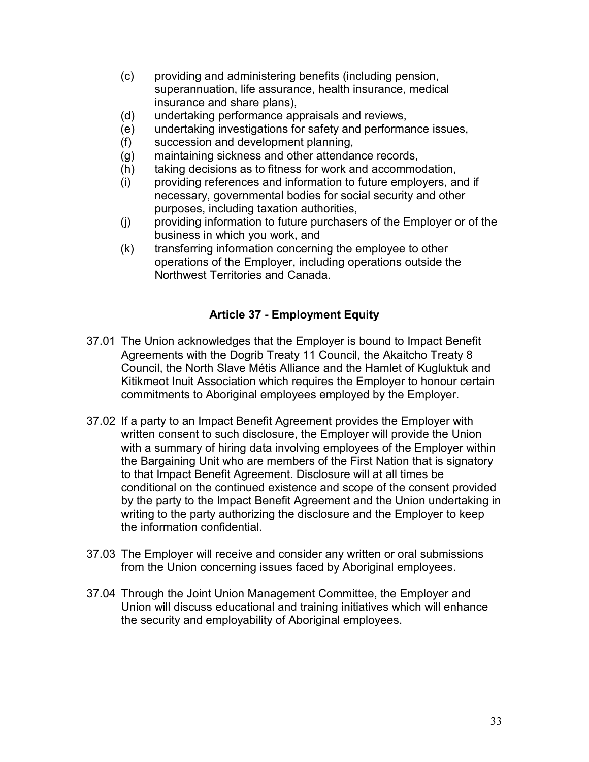- (c) providing and administering benefits (including pension, superannuation, life assurance, health insurance, medical insurance and share plans),
- (d) undertaking performance appraisals and reviews,
- (e) undertaking investigations for safety and performance issues,
- (f) succession and development planning,
- (g) maintaining sickness and other attendance records,
- (h) taking decisions as to fitness for work and accommodation,
- (i) providing references and information to future employers, and if necessary, governmental bodies for social security and other purposes, including taxation authorities,
- (j) providing information to future purchasers of the Employer or of the business in which you work, and
- (k) transferring information concerning the employee to other operations of the Employer, including operations outside the Northwest Territories and Canada.

## **Article 37 - Employment Equity**

- <span id="page-35-0"></span>37.01 The Union acknowledges that the Employer is bound to Impact Benefit Agreements with the Dogrib Treaty 11 Council, the Akaitcho Treaty 8 Council, the North Slave Métis Alliance and the Hamlet of Kugluktuk and Kitikmeot Inuit Association which requires the Employer to honour certain commitments to Aboriginal employees employed by the Employer.
- 37.02 If a party to an Impact Benefit Agreement provides the Employer with written consent to such disclosure, the Employer will provide the Union with a summary of hiring data involving employees of the Employer within the Bargaining Unit who are members of the First Nation that is signatory to that Impact Benefit Agreement. Disclosure will at all times be conditional on the continued existence and scope of the consent provided by the party to the Impact Benefit Agreement and the Union undertaking in writing to the party authorizing the disclosure and the Employer to keep the information confidential.
- 37.03 The Employer will receive and consider any written or oral submissions from the Union concerning issues faced by Aboriginal employees.
- 37.04 Through the Joint Union Management Committee, the Employer and Union will discuss educational and training initiatives which will enhance the security and employability of Aboriginal employees.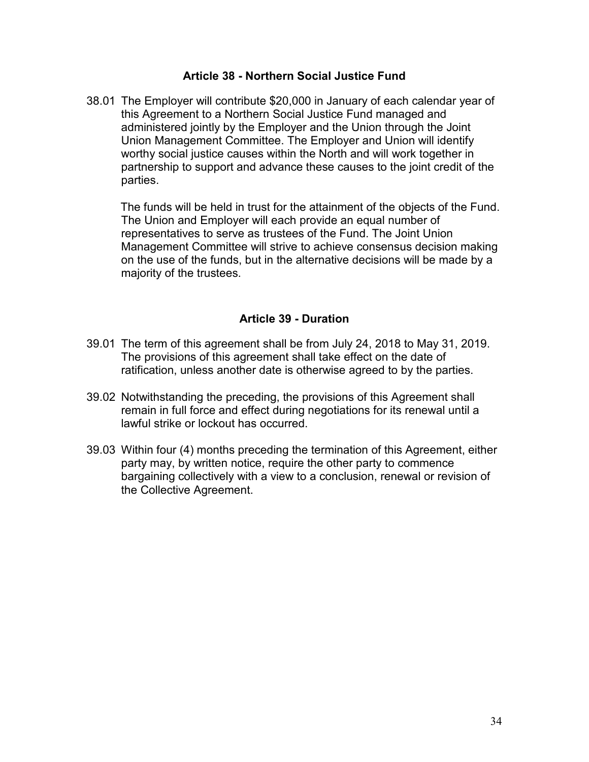### **Article 38 - Northern Social Justice Fund**

<span id="page-36-0"></span>38.01 The Employer will contribute \$20,000 in January of each calendar year of this Agreement to a Northern Social Justice Fund managed and administered jointly by the Employer and the Union through the Joint Union Management Committee. The Employer and Union will identify worthy social justice causes within the North and will work together in partnership to support and advance these causes to the joint credit of the parties.

The funds will be held in trust for the attainment of the objects of the Fund. The Union and Employer will each provide an equal number of representatives to serve as trustees of the Fund. The Joint Union Management Committee will strive to achieve consensus decision making on the use of the funds, but in the alternative decisions will be made by a majority of the trustees.

### **Article 39 - Duration**

- <span id="page-36-1"></span>39.01 The term of this agreement shall be from July 24, 2018 to May 31, 2019. The provisions of this agreement shall take effect on the date of ratification, unless another date is otherwise agreed to by the parties.
- 39.02 Notwithstanding the preceding, the provisions of this Agreement shall remain in full force and effect during negotiations for its renewal until a lawful strike or lockout has occurred.
- 39.03 Within four (4) months preceding the termination of this Agreement, either party may, by written notice, require the other party to commence bargaining collectively with a view to a conclusion, renewal or revision of the Collective Agreement.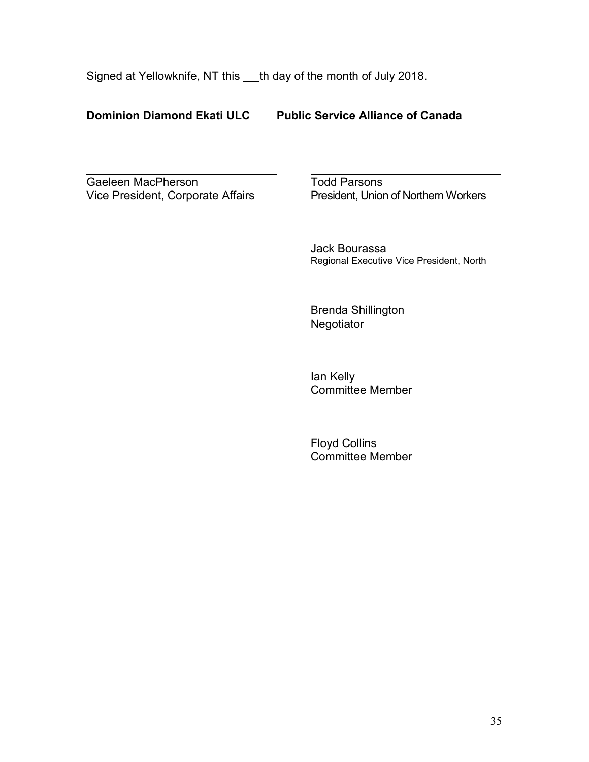Signed at Yellowknife, NT this \_\_\_th day of the month of July 2018.

## **Dominion Diamond Ekati ULC Public Service Alliance of Canada**

Gaeleen MacPherson<br>
Vice President, Corporate Affairs<br>
President, Unior

President, Union of Northern Workers

Jack Bourassa Regional Executive Vice President, North

Brenda Shillington **Negotiator** 

Ian Kelly Committee Member

<span id="page-37-0"></span>Floyd Collins Committee Member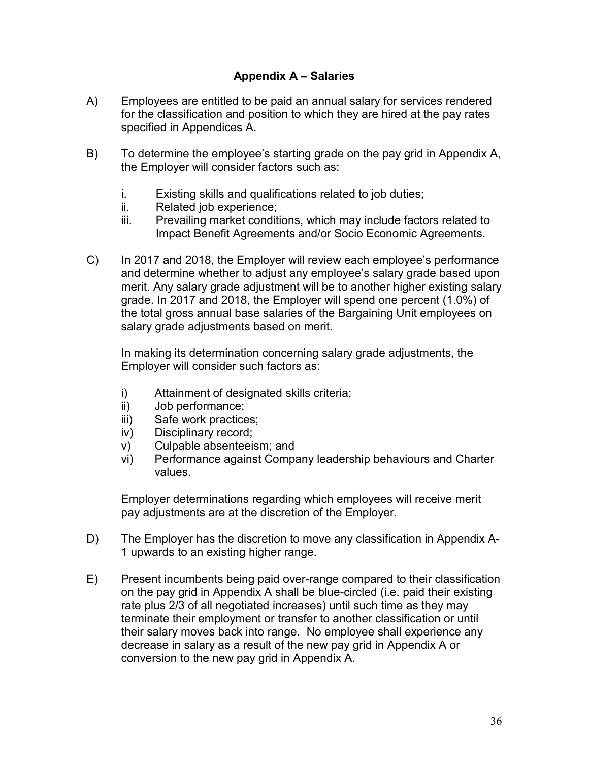## **Appendix A – Salaries**

- A) Employees are entitled to be paid an annual salary for services rendered for the classification and position to which they are hired at the pay rates specified in Appendices A.
- B) To determine the employee's starting grade on the pay grid in Appendix A, the Employer will consider factors such as:
	- i. Existing skills and qualifications related to job duties;
	- ii. Related job experience;
	- iii. Prevailing market conditions, which may include factors related to Impact Benefit Agreements and/or Socio Economic Agreements.
- C) In 2017 and 2018, the Employer will review each employee's performance and determine whether to adjust any employee's salary grade based upon merit. Any salary grade adjustment will be to another higher existing salary grade. In 2017 and 2018, the Employer will spend one percent (1.0%) of the total gross annual base salaries of the Bargaining Unit employees on salary grade adjustments based on merit.

In making its determination concerning salary grade adjustments, the Employer will consider such factors as:

- i) Attainment of designated skills criteria;
- ii) Job performance;
- iii) Safe work practices;
- iv) Disciplinary record;
- v) Culpable absenteeism; and
- vi) Performance against Company leadership behaviours and Charter values.

Employer determinations regarding which employees will receive merit pay adjustments are at the discretion of the Employer.

- D) The Employer has the discretion to move any classification in Appendix A-1 upwards to an existing higher range.
- E) Present incumbents being paid over-range compared to their classification on the pay grid in Appendix A shall be blue-circled (i.e. paid their existing rate plus 2/3 of all negotiated increases) until such time as they may terminate their employment or transfer to another classification or until their salary moves back into range. No employee shall experience any decrease in salary as a result of the new pay grid in Appendix A or conversion to the new pay grid in Appendix A.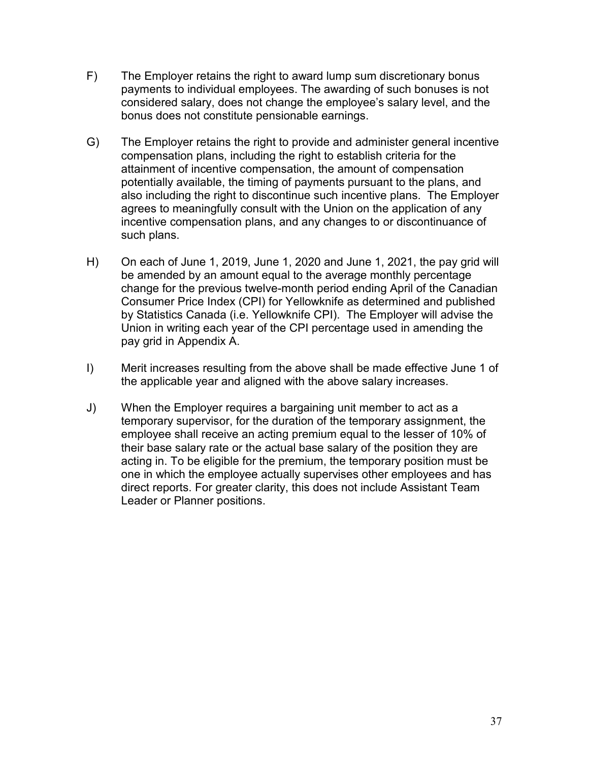- F) The Employer retains the right to award lump sum discretionary bonus payments to individual employees. The awarding of such bonuses is not considered salary, does not change the employee's salary level, and the bonus does not constitute pensionable earnings.
- G) The Employer retains the right to provide and administer general incentive compensation plans, including the right to establish criteria for the attainment of incentive compensation, the amount of compensation potentially available, the timing of payments pursuant to the plans, and also including the right to discontinue such incentive plans. The Employer agrees to meaningfully consult with the Union on the application of any incentive compensation plans, and any changes to or discontinuance of such plans.
- H) On each of June 1, 2019, June 1, 2020 and June 1, 2021, the pay grid will be amended by an amount equal to the average monthly percentage change for the previous twelve-month period ending April of the Canadian Consumer Price Index (CPI) for Yellowknife as determined and published by Statistics Canada (i.e. Yellowknife CPI). The Employer will advise the Union in writing each year of the CPI percentage used in amending the pay grid in Appendix A.
- I) Merit increases resulting from the above shall be made effective June 1 of the applicable year and aligned with the above salary increases.
- J) When the Employer requires a bargaining unit member to act as a temporary supervisor, for the duration of the temporary assignment, the employee shall receive an acting premium equal to the lesser of 10% of their base salary rate or the actual base salary of the position they are acting in. To be eligible for the premium, the temporary position must be one in which the employee actually supervises other employees and has direct reports. For greater clarity, this does not include Assistant Team Leader or Planner positions.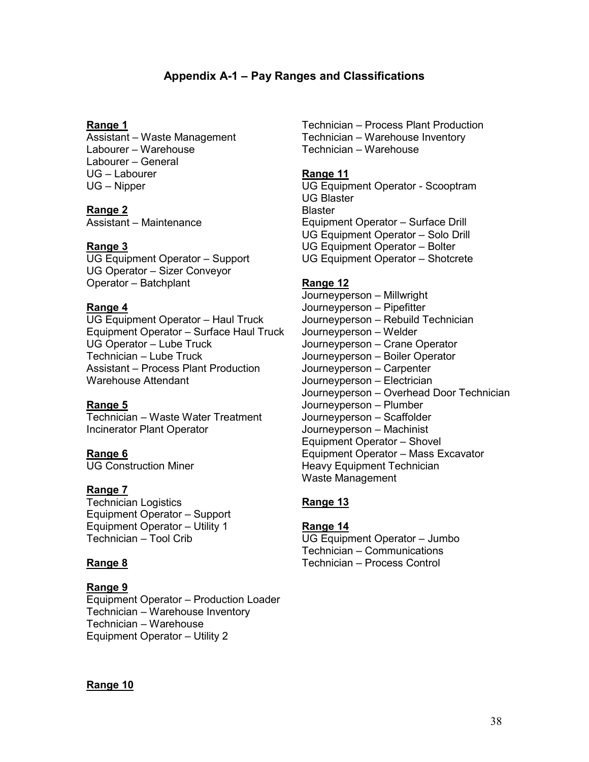## **Appendix A-1 – Pay Ranges and Classifications**

#### <span id="page-40-0"></span>**Range 1**

Assistant – Waste Management Labourer – Warehouse Labourer – General UG – Labourer UG – Nipper

#### **Range 2**

Assistant – Maintenance

#### **Range 3**

UG Equipment Operator – Support UG Operator – Sizer Conveyor Operator – Batchplant

#### **Range 4**

UG Equipment Operator – Haul Truck Equipment Operator – Surface Haul Truck UG Operator – Lube Truck Technician – Lube Truck Assistant – Process Plant Production Warehouse Attendant

#### **Range 5**

Technician – Waste Water Treatment Incinerator Plant Operator

**Range 6** UG Construction Miner

#### **Range 7**

Technician Logistics Equipment Operator – Support Equipment Operator – Utility 1 Technician – Tool Crib

#### **Range 8**

#### **Range 9**

Equipment Operator – Production Loader Technician – Warehouse Inventory Technician – Warehouse Equipment Operator – Utility 2

Technician – Process Plant Production Technician – Warehouse Inventory Technician – Warehouse

#### **Range 11**

UG Equipment Operator - Scooptram UG Blaster **Blaster** Equipment Operator – Surface Drill UG Equipment Operator – Solo Drill UG Equipment Operator – Bolter UG Equipment Operator – Shotcrete

#### **Range 12**

Journeyperson – Millwright Journeyperson – Pipefitter Journeyperson – Rebuild Technician Journeyperson – Welder Journeyperson – Crane Operator Journeyperson – Boiler Operator Journeyperson – Carpenter Journeyperson – Electrician Journeyperson – Overhead Door Technician Journeyperson – Plumber Journeyperson – Scaffolder Journeyperson – Machinist Equipment Operator – Shovel Equipment Operator – Mass Excavator Heavy Equipment Technician Waste Management

#### **Range 13**

#### **Range 14**

UG Equipment Operator – Jumbo Technician – Communications Technician – Process Control

#### **Range 10**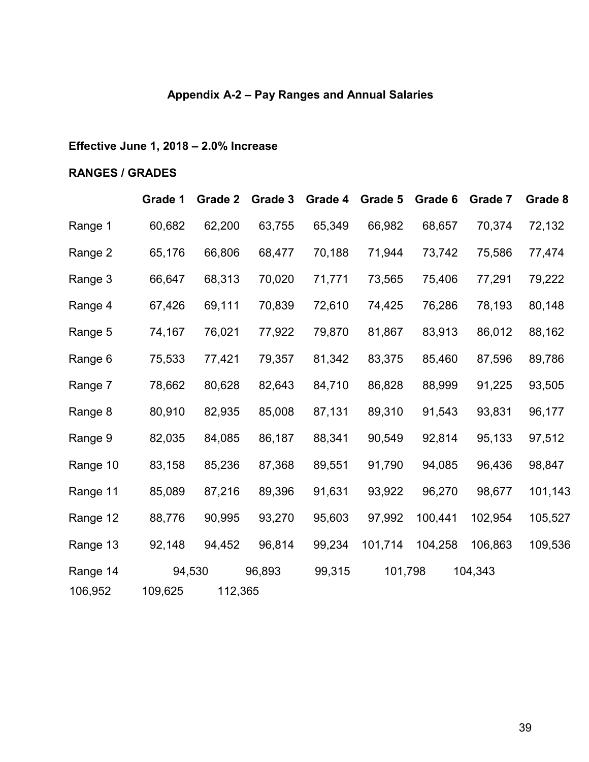# **Appendix A-2 – Pay Ranges and Annual Salaries**

# <span id="page-41-0"></span>**Effective June 1, 2018 – 2.0% Increase**

## **RANGES / GRADES**

|          | Grade 1 | Grade 2 | Grade 3 | Grade 4 | Grade 5 | Grade 6 | Grade 7 | Grade 8 |
|----------|---------|---------|---------|---------|---------|---------|---------|---------|
| Range 1  | 60,682  | 62,200  | 63,755  | 65,349  | 66,982  | 68,657  | 70,374  | 72,132  |
| Range 2  | 65,176  | 66,806  | 68,477  | 70,188  | 71,944  | 73,742  | 75,586  | 77,474  |
| Range 3  | 66,647  | 68,313  | 70,020  | 71,771  | 73,565  | 75,406  | 77,291  | 79,222  |
| Range 4  | 67,426  | 69,111  | 70,839  | 72,610  | 74,425  | 76,286  | 78,193  | 80,148  |
| Range 5  | 74,167  | 76,021  | 77,922  | 79,870  | 81,867  | 83,913  | 86,012  | 88,162  |
| Range 6  | 75,533  | 77,421  | 79,357  | 81,342  | 83,375  | 85,460  | 87,596  | 89,786  |
| Range 7  | 78,662  | 80,628  | 82,643  | 84,710  | 86,828  | 88,999  | 91,225  | 93,505  |
| Range 8  | 80,910  | 82,935  | 85,008  | 87,131  | 89,310  | 91,543  | 93,831  | 96,177  |
| Range 9  | 82,035  | 84,085  | 86,187  | 88,341  | 90,549  | 92,814  | 95,133  | 97,512  |
| Range 10 | 83,158  | 85,236  | 87,368  | 89,551  | 91,790  | 94,085  | 96,436  | 98,847  |
| Range 11 | 85,089  | 87,216  | 89,396  | 91,631  | 93,922  | 96,270  | 98,677  | 101,143 |
| Range 12 | 88,776  | 90,995  | 93,270  | 95,603  | 97,992  | 100,441 | 102,954 | 105,527 |
| Range 13 | 92,148  | 94,452  | 96,814  | 99,234  | 101,714 | 104,258 | 106,863 | 109,536 |
| Range 14 |         | 94,530  | 96,893  | 99,315  | 101,798 |         | 104,343 |         |
| 106,952  | 109,625 | 112,365 |         |         |         |         |         |         |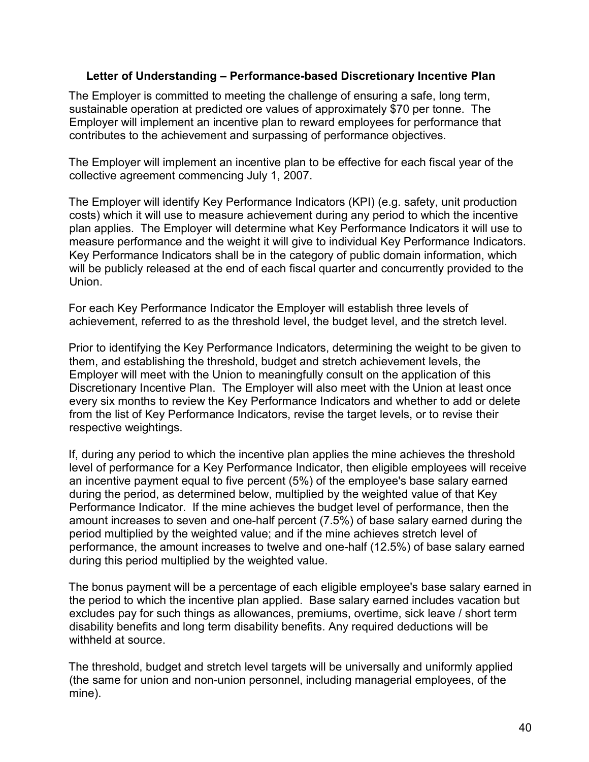### <span id="page-42-0"></span>**Letter of Understanding – Performance-based Discretionary Incentive Plan**

The Employer is committed to meeting the challenge of ensuring a safe, long term, sustainable operation at predicted ore values of approximately \$70 per tonne. The Employer will implement an incentive plan to reward employees for performance that contributes to the achievement and surpassing of performance objectives.

The Employer will implement an incentive plan to be effective for each fiscal year of the collective agreement commencing July 1, 2007.

The Employer will identify Key Performance Indicators (KPI) (e.g. safety, unit production costs) which it will use to measure achievement during any period to which the incentive plan applies. The Employer will determine what Key Performance Indicators it will use to measure performance and the weight it will give to individual Key Performance Indicators. Key Performance Indicators shall be in the category of public domain information, which will be publicly released at the end of each fiscal quarter and concurrently provided to the Union.

For each Key Performance Indicator the Employer will establish three levels of achievement, referred to as the threshold level, the budget level, and the stretch level.

Prior to identifying the Key Performance Indicators, determining the weight to be given to them, and establishing the threshold, budget and stretch achievement levels, the Employer will meet with the Union to meaningfully consult on the application of this Discretionary Incentive Plan. The Employer will also meet with the Union at least once every six months to review the Key Performance Indicators and whether to add or delete from the list of Key Performance Indicators, revise the target levels, or to revise their respective weightings.

If, during any period to which the incentive plan applies the mine achieves the threshold level of performance for a Key Performance Indicator, then eligible employees will receive an incentive payment equal to five percent (5%) of the employee's base salary earned during the period, as determined below, multiplied by the weighted value of that Key Performance Indicator. If the mine achieves the budget level of performance, then the amount increases to seven and one-half percent (7.5%) of base salary earned during the period multiplied by the weighted value; and if the mine achieves stretch level of performance, the amount increases to twelve and one-half (12.5%) of base salary earned during this period multiplied by the weighted value.

The bonus payment will be a percentage of each eligible employee's base salary earned in the period to which the incentive plan applied. Base salary earned includes vacation but excludes pay for such things as allowances, premiums, overtime, sick leave / short term disability benefits and long term disability benefits. Any required deductions will be withheld at source.

The threshold, budget and stretch level targets will be universally and uniformly applied (the same for union and non-union personnel, including managerial employees, of the mine).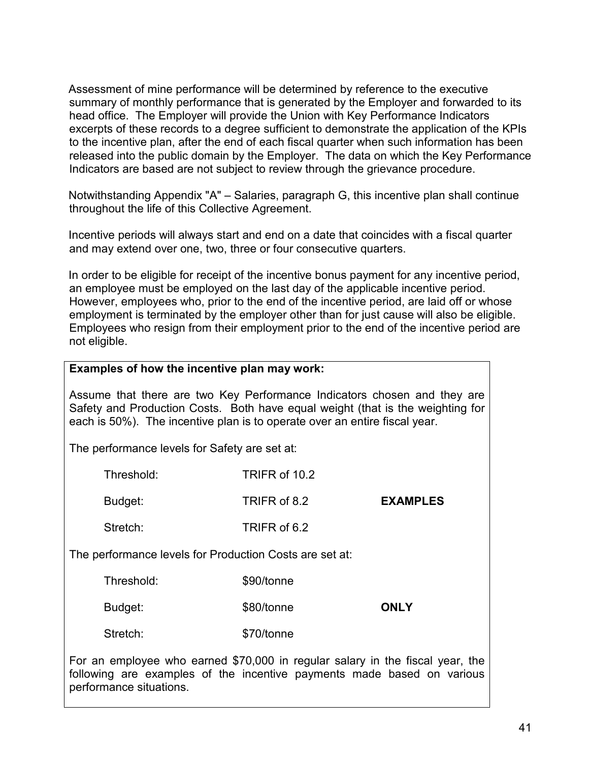Assessment of mine performance will be determined by reference to the executive summary of monthly performance that is generated by the Employer and forwarded to its head office. The Employer will provide the Union with Key Performance Indicators excerpts of these records to a degree sufficient to demonstrate the application of the KPIs to the incentive plan, after the end of each fiscal quarter when such information has been released into the public domain by the Employer. The data on which the Key Performance Indicators are based are not subject to review through the grievance procedure.

Notwithstanding Appendix "A" – Salaries, paragraph G, this incentive plan shall continue throughout the life of this Collective Agreement.

Incentive periods will always start and end on a date that coincides with a fiscal quarter and may extend over one, two, three or four consecutive quarters.

In order to be eligible for receipt of the incentive bonus payment for any incentive period, an employee must be employed on the last day of the applicable incentive period. However, employees who, prior to the end of the incentive period, are laid off or whose employment is terminated by the employer other than for just cause will also be eligible. Employees who resign from their employment prior to the end of the incentive period are not eligible.

### **Examples of how the incentive plan may work:**

Assume that there are two Key Performance Indicators chosen and they are Safety and Production Costs. Both have equal weight (that is the weighting for each is 50%). The incentive plan is to operate over an entire fiscal year.

The performance levels for Safety are set at:

|                                                         | Threshold: | TRIFR of 10.2 |                 |
|---------------------------------------------------------|------------|---------------|-----------------|
|                                                         | Budget:    | TRIFR of 8.2  | <b>EXAMPLES</b> |
|                                                         | Stretch:   | TRIFR of 6.2  |                 |
| The performance levels for Production Costs are set at: |            |               |                 |
|                                                         | .          |               |                 |

| Threshold: | \$90/tonne |             |
|------------|------------|-------------|
| Budget:    | \$80/tonne | <b>ONLY</b> |
| Stretch:   | \$70/tonne |             |

For an employee who earned \$70,000 in regular salary in the fiscal year, the following are examples of the incentive payments made based on various performance situations.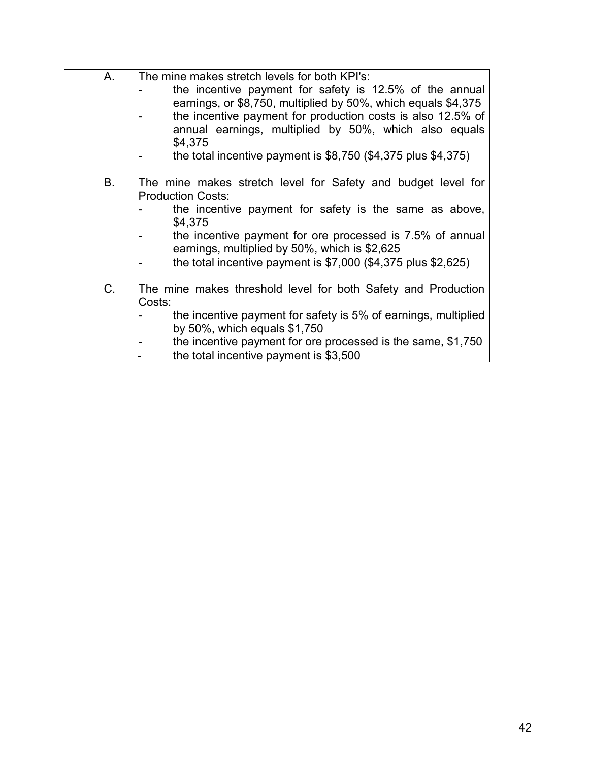| А. | The mine makes stretch levels for both KPI's:                                                                        |
|----|----------------------------------------------------------------------------------------------------------------------|
|    | the incentive payment for safety is 12.5% of the annual                                                              |
|    | earnings, or \$8,750, multiplied by 50%, which equals \$4,375                                                        |
|    | the incentive payment for production costs is also 12.5% of<br>annual earnings, multiplied by 50%, which also equals |
|    | \$4,375                                                                                                              |
|    | the total incentive payment is $$8,750$ ( $$4,375$ plus $$4,375$ )                                                   |
|    |                                                                                                                      |
| В. | The mine makes stretch level for Safety and budget level for                                                         |
|    | <b>Production Costs:</b>                                                                                             |
|    | the incentive payment for safety is the same as above,                                                               |
|    | \$4,375                                                                                                              |
|    | the incentive payment for ore processed is 7.5% of annual                                                            |
|    | earnings, multiplied by 50%, which is \$2,625                                                                        |
|    | the total incentive payment is $$7,000$ (\$4,375 plus \$2,625)                                                       |
| C. | The mine makes threshold level for both Safety and Production                                                        |
|    | Costs:                                                                                                               |
|    | the incentive payment for safety is 5% of earnings, multiplied                                                       |
|    | by $50\%$ , which equals $$1,750$                                                                                    |
|    | the incentive payment for ore processed is the same, \$1,750                                                         |

- the total incentive payment is \$3,500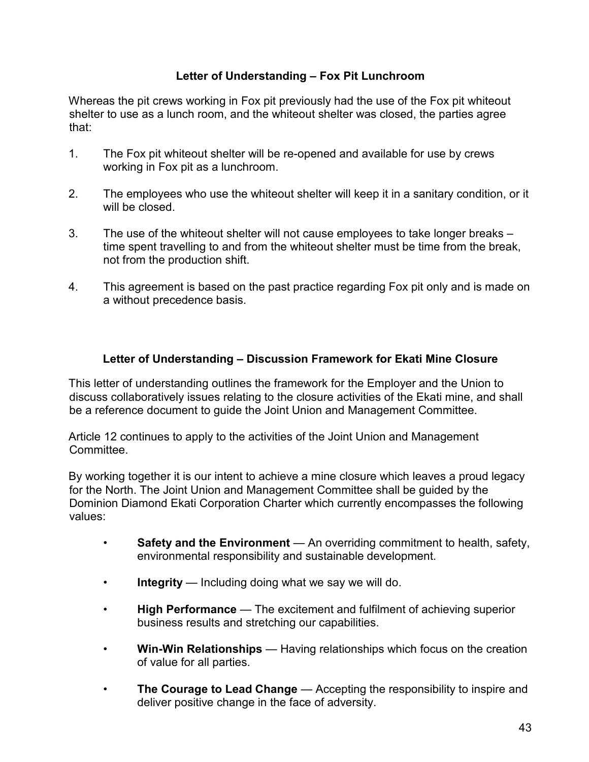## **Letter of Understanding – Fox Pit Lunchroom**

<span id="page-45-0"></span>Whereas the pit crews working in Fox pit previously had the use of the Fox pit whiteout shelter to use as a lunch room, and the whiteout shelter was closed, the parties agree that:

- 1. The Fox pit whiteout shelter will be re-opened and available for use by crews working in Fox pit as a lunchroom.
- 2. The employees who use the whiteout shelter will keep it in a sanitary condition, or it will be closed.
- 3. The use of the whiteout shelter will not cause employees to take longer breaks time spent travelling to and from the whiteout shelter must be time from the break, not from the production shift.
- 4. This agreement is based on the past practice regarding Fox pit only and is made on a without precedence basis.

## **Letter of Understanding – Discussion Framework for Ekati Mine Closure**

<span id="page-45-1"></span>This letter of understanding outlines the framework for the Employer and the Union to discuss collaboratively issues relating to the closure activities of the Ekati mine, and shall be a reference document to guide the Joint Union and Management Committee.

Article 12 continues to apply to the activities of the Joint Union and Management Committee.

By working together it is our intent to achieve a mine closure which leaves a proud legacy for the North. The Joint Union and Management Committee shall be guided by the Dominion Diamond Ekati Corporation Charter which currently encompasses the following values:

- **Safety and the Environment** An overriding commitment to health, safety, environmental responsibility and sustainable development.
- **Integrity** Including doing what we say we will do.
- **High Performance** The excitement and fulfilment of achieving superior business results and stretching our capabilities.
- **Win-Win Relationships** Having relationships which focus on the creation of value for all parties.
- **The Courage to Lead Change** Accepting the responsibility to inspire and deliver positive change in the face of adversity.